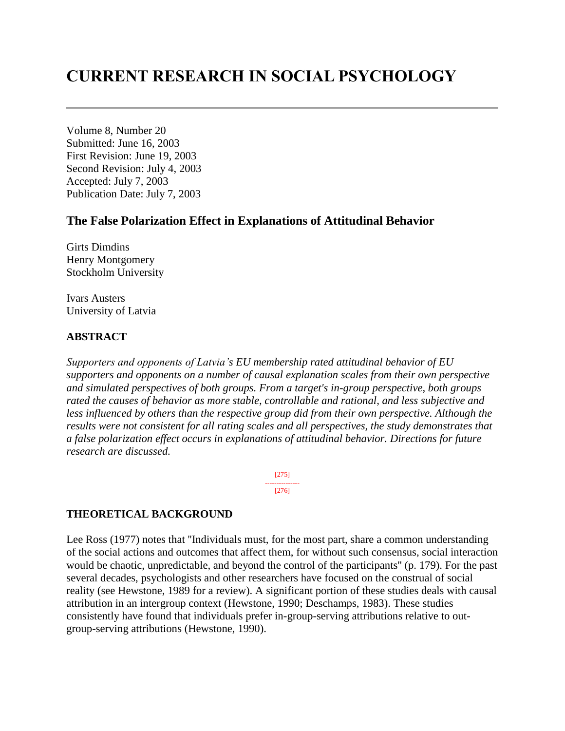# **CURRENT RESEARCH IN SOCIAL PSYCHOLOGY**

Volume 8, Number 20 Submitted: June 16, 2003 First Revision: June 19, 2003 Second Revision: July 4, 2003 Accepted: July 7, 2003 Publication Date: July 7, 2003

# **The False Polarization Effect in Explanations of Attitudinal Behavior**

Girts Dimdins Henry Montgomery Stockholm University

Ivars Austers University of Latvia

# **ABSTRACT**

*Supporters and opponents of Latvia's EU membership rated attitudinal behavior of EU supporters and opponents on a number of causal explanation scales from their own perspective and simulated perspectives of both groups. From a target's in-group perspective, both groups rated the causes of behavior as more stable, controllable and rational, and less subjective and less influenced by others than the respective group did from their own perspective. Although the results were not consistent for all rating scales and all perspectives, the study demonstrates that a false polarization effect occurs in explanations of attitudinal behavior. Directions for future research are discussed.*

> [275] --------------- [276]

# **THEORETICAL BACKGROUND**

Lee Ross (1977) notes that ''Individuals must, for the most part, share a common understanding of the social actions and outcomes that affect them, for without such consensus, social interaction would be chaotic, unpredictable, and beyond the control of the participants'' (p. 179). For the past several decades, psychologists and other researchers have focused on the construal of social reality (see Hewstone, 1989 for a review). A significant portion of these studies deals with causal attribution in an intergroup context (Hewstone, 1990; Deschamps, 1983). These studies consistently have found that individuals prefer in-group-serving attributions relative to outgroup-serving attributions (Hewstone, 1990).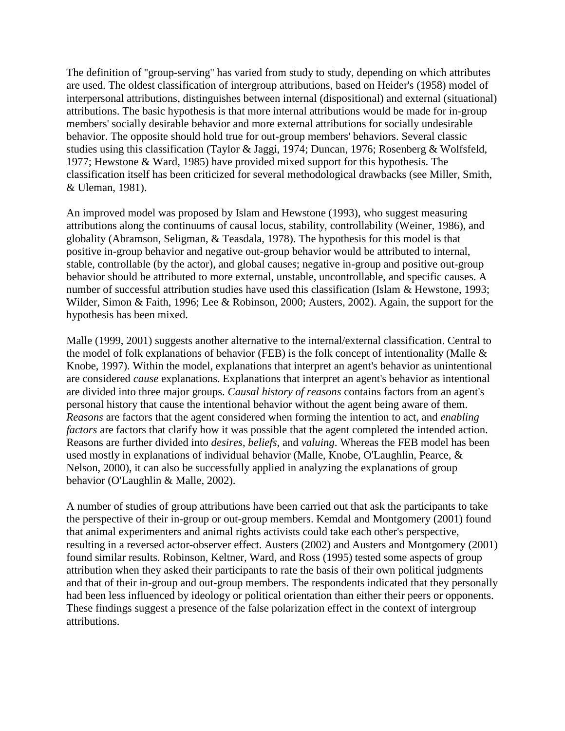The definition of ''group-serving'' has varied from study to study, depending on which attributes are used. The oldest classification of intergroup attributions, based on Heider's (1958) model of interpersonal attributions, distinguishes between internal (dispositional) and external (situational) attributions. The basic hypothesis is that more internal attributions would be made for in-group members' socially desirable behavior and more external attributions for socially undesirable behavior. The opposite should hold true for out-group members' behaviors. Several classic studies using this classification (Taylor & Jaggi, 1974; Duncan, 1976; Rosenberg & Wolfsfeld, 1977; Hewstone & Ward, 1985) have provided mixed support for this hypothesis. The classification itself has been criticized for several methodological drawbacks (see Miller, Smith, & Uleman, 1981).

An improved model was proposed by Islam and Hewstone (1993), who suggest measuring attributions along the continuums of causal locus, stability, controllability (Weiner, 1986), and globality (Abramson, Seligman, & Teasdala, 1978). The hypothesis for this model is that positive in-group behavior and negative out-group behavior would be attributed to internal, stable, controllable (by the actor), and global causes; negative in-group and positive out-group behavior should be attributed to more external, unstable, uncontrollable, and specific causes. A number of successful attribution studies have used this classification (Islam & Hewstone, 1993; Wilder, Simon & Faith, 1996; Lee & Robinson, 2000; Austers, 2002). Again, the support for the hypothesis has been mixed.

Malle (1999, 2001) suggests another alternative to the internal/external classification. Central to the model of folk explanations of behavior (FEB) is the folk concept of intentionality (Malle & Knobe, 1997). Within the model, explanations that interpret an agent's behavior as unintentional are considered *cause* explanations. Explanations that interpret an agent's behavior as intentional are divided into three major groups. *Causal history of reasons* contains factors from an agent's personal history that cause the intentional behavior without the agent being aware of them. *Reasons* are factors that the agent considered when forming the intention to act, and *enabling factors* are factors that clarify how it was possible that the agent completed the intended action. Reasons are further divided into *desires*, *beliefs*, and *valuing*. Whereas the FEB model has been used mostly in explanations of individual behavior (Malle, Knobe, O'Laughlin, Pearce, & Nelson, 2000), it can also be successfully applied in analyzing the explanations of group behavior (O'Laughlin & Malle, 2002).

A number of studies of group attributions have been carried out that ask the participants to take the perspective of their in-group or out-group members. Kemdal and Montgomery (2001) found that animal experimenters and animal rights activists could take each other's perspective, resulting in a reversed actor-observer effect. Austers (2002) and Austers and Montgomery (2001) found similar results. Robinson, Keltner, Ward, and Ross (1995) tested some aspects of group attribution when they asked their participants to rate the basis of their own political judgments and that of their in-group and out-group members. The respondents indicated that they personally had been less influenced by ideology or political orientation than either their peers or opponents. These findings suggest a presence of the false polarization effect in the context of intergroup attributions.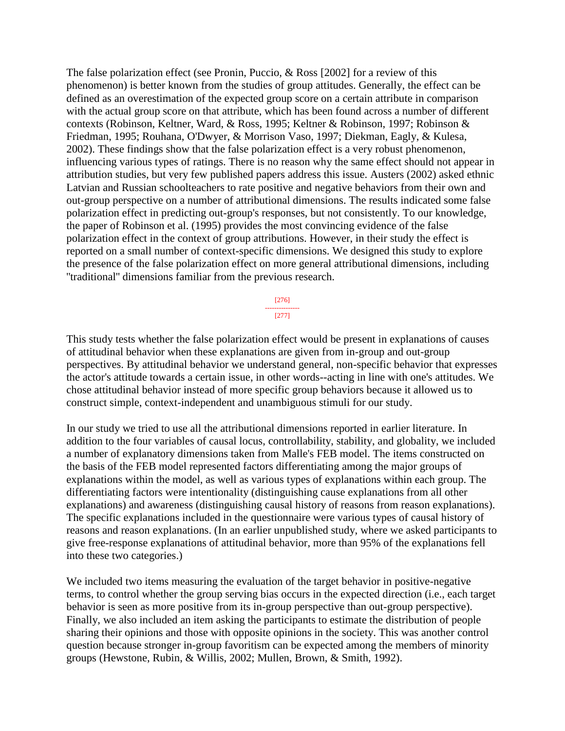The false polarization effect (see Pronin, Puccio, & Ross [2002] for a review of this phenomenon) is better known from the studies of group attitudes. Generally, the effect can be defined as an overestimation of the expected group score on a certain attribute in comparison with the actual group score on that attribute, which has been found across a number of different contexts (Robinson, Keltner, Ward, & Ross, 1995; Keltner & Robinson, 1997; Robinson & Friedman, 1995; Rouhana, O'Dwyer, & Morrison Vaso, 1997; Diekman, Eagly, & Kulesa, 2002). These findings show that the false polarization effect is a very robust phenomenon, influencing various types of ratings. There is no reason why the same effect should not appear in attribution studies, but very few published papers address this issue. Austers (2002) asked ethnic Latvian and Russian schoolteachers to rate positive and negative behaviors from their own and out-group perspective on a number of attributional dimensions. The results indicated some false polarization effect in predicting out-group's responses, but not consistently. To our knowledge, the paper of Robinson et al. (1995) provides the most convincing evidence of the false polarization effect in the context of group attributions. However, in their study the effect is reported on a small number of context-specific dimensions. We designed this study to explore the presence of the false polarization effect on more general attributional dimensions, including ''traditional'' dimensions familiar from the previous research.

> [276] --------------- [277]

This study tests whether the false polarization effect would be present in explanations of causes of attitudinal behavior when these explanations are given from in-group and out-group perspectives. By attitudinal behavior we understand general, non-specific behavior that expresses the actor's attitude towards a certain issue, in other words--acting in line with one's attitudes. We chose attitudinal behavior instead of more specific group behaviors because it allowed us to construct simple, context-independent and unambiguous stimuli for our study.

In our study we tried to use all the attributional dimensions reported in earlier literature. In addition to the four variables of causal locus, controllability, stability, and globality, we included a number of explanatory dimensions taken from Malle's FEB model. The items constructed on the basis of the FEB model represented factors differentiating among the major groups of explanations within the model, as well as various types of explanations within each group. The differentiating factors were intentionality (distinguishing cause explanations from all other explanations) and awareness (distinguishing causal history of reasons from reason explanations). The specific explanations included in the questionnaire were various types of causal history of reasons and reason explanations. (In an earlier unpublished study, where we asked participants to give free-response explanations of attitudinal behavior, more than 95% of the explanations fell into these two categories.)

We included two items measuring the evaluation of the target behavior in positive-negative terms, to control whether the group serving bias occurs in the expected direction (i.e., each target behavior is seen as more positive from its in-group perspective than out-group perspective). Finally, we also included an item asking the participants to estimate the distribution of people sharing their opinions and those with opposite opinions in the society. This was another control question because stronger in-group favoritism can be expected among the members of minority groups (Hewstone, Rubin, & Willis, 2002; Mullen, Brown, & Smith, 1992).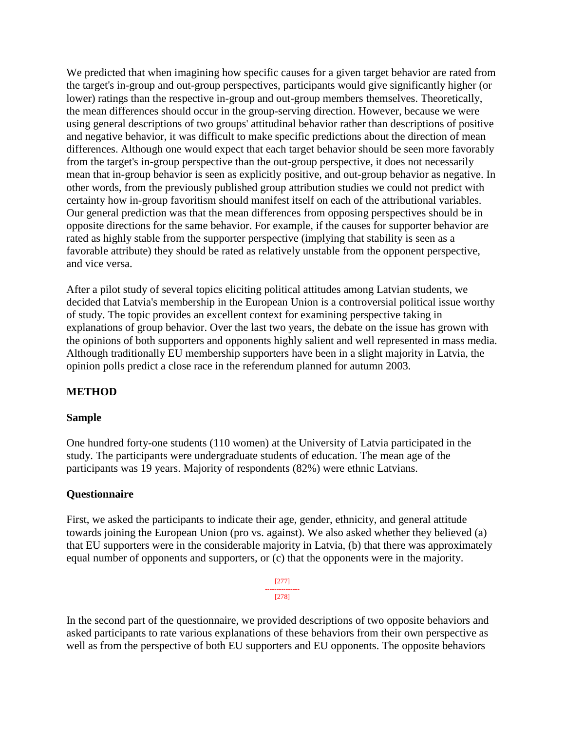We predicted that when imagining how specific causes for a given target behavior are rated from the target's in-group and out-group perspectives, participants would give significantly higher (or lower) ratings than the respective in-group and out-group members themselves. Theoretically, the mean differences should occur in the group-serving direction. However, because we were using general descriptions of two groups' attitudinal behavior rather than descriptions of positive and negative behavior, it was difficult to make specific predictions about the direction of mean differences. Although one would expect that each target behavior should be seen more favorably from the target's in-group perspective than the out-group perspective, it does not necessarily mean that in-group behavior is seen as explicitly positive, and out-group behavior as negative. In other words, from the previously published group attribution studies we could not predict with certainty how in-group favoritism should manifest itself on each of the attributional variables. Our general prediction was that the mean differences from opposing perspectives should be in opposite directions for the same behavior. For example, if the causes for supporter behavior are rated as highly stable from the supporter perspective (implying that stability is seen as a favorable attribute) they should be rated as relatively unstable from the opponent perspective, and vice versa.

After a pilot study of several topics eliciting political attitudes among Latvian students, we decided that Latvia's membership in the European Union is a controversial political issue worthy of study. The topic provides an excellent context for examining perspective taking in explanations of group behavior. Over the last two years, the debate on the issue has grown with the opinions of both supporters and opponents highly salient and well represented in mass media. Although traditionally EU membership supporters have been in a slight majority in Latvia, the opinion polls predict a close race in the referendum planned for autumn 2003.

# **METHOD**

#### **Sample**

One hundred forty-one students (110 women) at the University of Latvia participated in the study. The participants were undergraduate students of education. The mean age of the participants was 19 years. Majority of respondents (82%) were ethnic Latvians.

#### **Questionnaire**

First, we asked the participants to indicate their age, gender, ethnicity, and general attitude towards joining the European Union (pro vs. against). We also asked whether they believed (a) that EU supporters were in the considerable majority in Latvia, (b) that there was approximately equal number of opponents and supporters, or (c) that the opponents were in the majority.

> [277] --------------- [278]

In the second part of the questionnaire, we provided descriptions of two opposite behaviors and asked participants to rate various explanations of these behaviors from their own perspective as well as from the perspective of both EU supporters and EU opponents. The opposite behaviors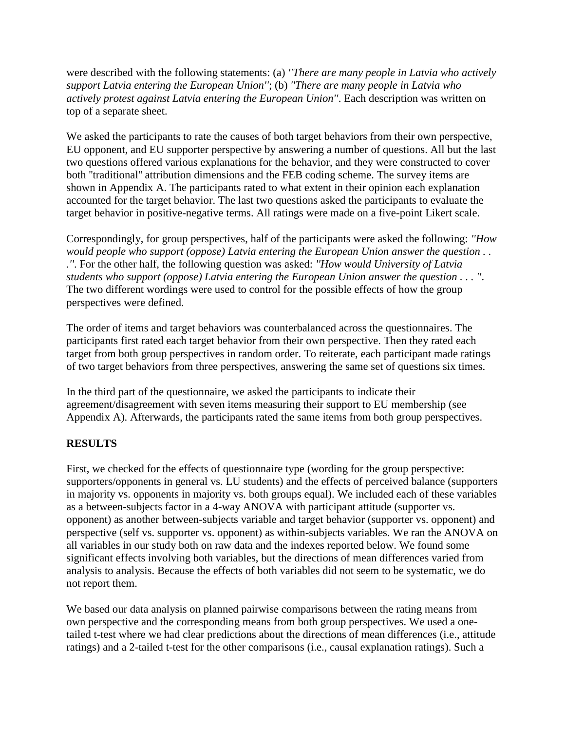were described with the following statements: (a) *''There are many people in Latvia who actively support Latvia entering the European Union''*; (b) *''There are many people in Latvia who actively protest against Latvia entering the European Union''*. Each description was written on top of a separate sheet.

We asked the participants to rate the causes of both target behaviors from their own perspective, EU opponent, and EU supporter perspective by answering a number of questions. All but the last two questions offered various explanations for the behavior, and they were constructed to cover both ''traditional'' attribution dimensions and the FEB coding scheme. The survey items are shown in Appendix A. The participants rated to what extent in their opinion each explanation accounted for the target behavior. The last two questions asked the participants to evaluate the target behavior in positive-negative terms. All ratings were made on a five-point Likert scale.

Correspondingly, for group perspectives, half of the participants were asked the following: *''How would people who support (oppose) Latvia entering the European Union answer the question . . .''*. For the other half, the following question was asked: *''How would University of Latvia students who support (oppose) Latvia entering the European Union answer the question . . . ''*. The two different wordings were used to control for the possible effects of how the group perspectives were defined.

The order of items and target behaviors was counterbalanced across the questionnaires. The participants first rated each target behavior from their own perspective. Then they rated each target from both group perspectives in random order. To reiterate, each participant made ratings of two target behaviors from three perspectives, answering the same set of questions six times.

In the third part of the questionnaire, we asked the participants to indicate their agreement/disagreement with seven items measuring their support to EU membership (see Appendix A). Afterwards, the participants rated the same items from both group perspectives.

# **RESULTS**

First, we checked for the effects of questionnaire type (wording for the group perspective: supporters/opponents in general vs. LU students) and the effects of perceived balance (supporters in majority vs. opponents in majority vs. both groups equal). We included each of these variables as a between-subjects factor in a 4-way ANOVA with participant attitude (supporter vs. opponent) as another between-subjects variable and target behavior (supporter vs. opponent) and perspective (self vs. supporter vs. opponent) as within-subjects variables. We ran the ANOVA on all variables in our study both on raw data and the indexes reported below. We found some significant effects involving both variables, but the directions of mean differences varied from analysis to analysis. Because the effects of both variables did not seem to be systematic, we do not report them.

We based our data analysis on planned pairwise comparisons between the rating means from own perspective and the corresponding means from both group perspectives. We used a onetailed t-test where we had clear predictions about the directions of mean differences (i.e., attitude ratings) and a 2-tailed t-test for the other comparisons (i.e., causal explanation ratings). Such a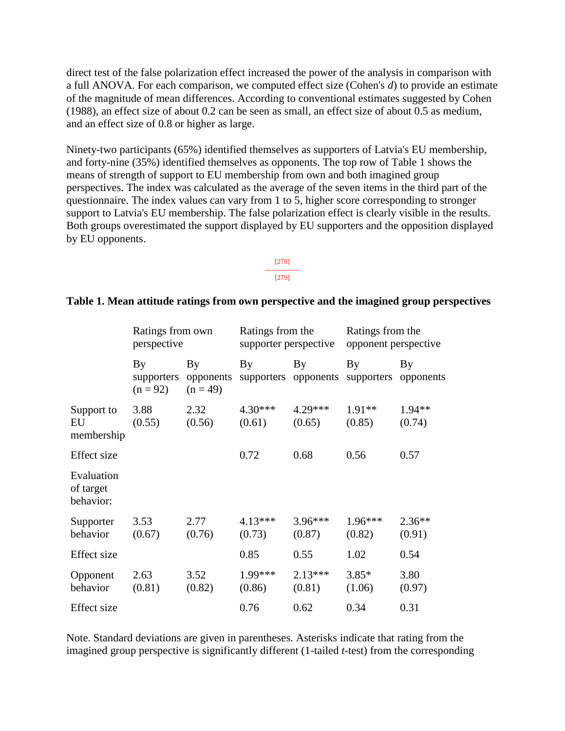direct test of the false polarization effect increased the power of the analysis in comparison with a full ANOVA. For each comparison, we computed effect size (Cohen's *d*) to provide an estimate of the magnitude of mean differences. According to conventional estimates suggested by Cohen (1988), an effect size of about 0.2 can be seen as small, an effect size of about 0.5 as medium, and an effect size of 0.8 or higher as large.

Ninety-two participants (65%) identified themselves as supporters of Latvia's EU membership, and forty-nine (35%) identified themselves as opponents. The top row of Table 1 shows the means of strength of support to EU membership from own and both imagined group perspectives. The index was calculated as the average of the seven items in the third part of the questionnaire. The index values can vary from 1 to 5, higher score corresponding to stronger support to Latvia's EU membership. The false polarization effect is clearly visible in the results. Both groups overestimated the support displayed by EU supporters and the opposition displayed by EU opponents.

> [278] --------------- [279]

#### **Table 1. Mean attitude ratings from own perspective and the imagined group perspectives**

|                                      | Ratings from own<br>perspective |                               | Ratings from the<br>supporter perspective |                            | Ratings from the<br>opponent perspective |                    |
|--------------------------------------|---------------------------------|-------------------------------|-------------------------------------------|----------------------------|------------------------------------------|--------------------|
|                                      | By<br>supporters<br>$(n = 92)$  | By<br>opponents<br>$(n = 49)$ | By                                        | By<br>supporters opponents | By<br>supporters                         | By<br>opponents    |
| Support to<br>EU<br>membership       | 3.88<br>(0.55)                  | 2.32<br>(0.56)                | 4.30***<br>(0.61)                         | 4.29***<br>(0.65)          | $1.91**$<br>(0.85)                       | 1.94**<br>(0.74)   |
| Effect size                          |                                 |                               | 0.72                                      | 0.68                       | 0.56                                     | 0.57               |
| Evaluation<br>of target<br>behavior: |                                 |                               |                                           |                            |                                          |                    |
| Supporter<br>behavior                | 3.53<br>(0.67)                  | 2.77<br>(0.76)                | 4.13***<br>(0.73)                         | $3.96***$<br>(0.87)        | $1.96***$<br>(0.82)                      | $2.36**$<br>(0.91) |
| Effect size                          |                                 |                               | 0.85                                      | 0.55                       | 1.02                                     | 0.54               |
| Opponent<br>behavior                 | 2.63<br>(0.81)                  | 3.52<br>(0.82)                | 1.99***<br>(0.86)                         | $2.13***$<br>(0.81)        | $3.85*$<br>(1.06)                        | 3.80<br>(0.97)     |
| <b>Effect</b> size                   |                                 |                               | 0.76                                      | 0.62                       | 0.34                                     | 0.31               |

Note. Standard deviations are given in parentheses. Asterisks indicate that rating from the imagined group perspective is significantly different (1-tailed *t*-test) from the corresponding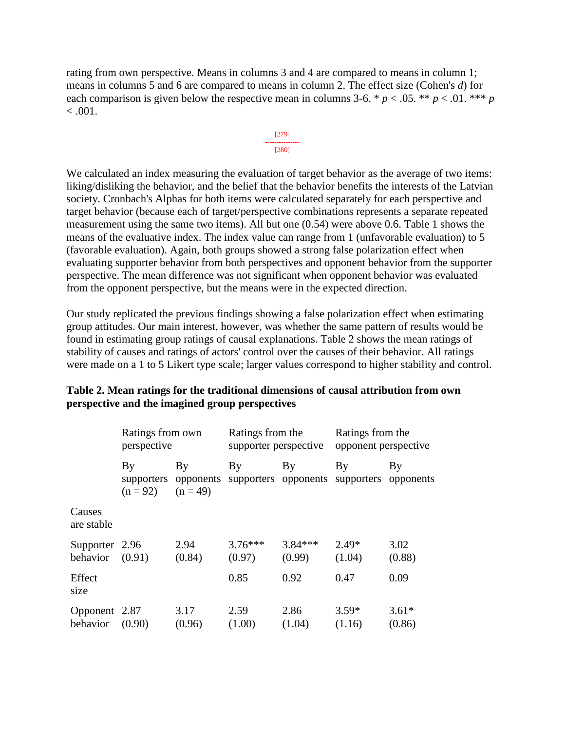rating from own perspective. Means in columns 3 and 4 are compared to means in column 1; means in columns 5 and 6 are compared to means in column 2. The effect size (Cohen's *d*) for each comparison is given below the respective mean in columns 3-6. \*  $p < .05$ . \*\*  $p < .01$ . \*\*\*  $p$  $< 0.001$ .



We calculated an index measuring the evaluation of target behavior as the average of two items: liking/disliking the behavior, and the belief that the behavior benefits the interests of the Latvian society. Cronbach's Alphas for both items were calculated separately for each perspective and target behavior (because each of target/perspective combinations represents a separate repeated measurement using the same two items). All but one (0.54) were above 0.6. Table 1 shows the means of the evaluative index. The index value can range from 1 (unfavorable evaluation) to 5 (favorable evaluation). Again, both groups showed a strong false polarization effect when evaluating supporter behavior from both perspectives and opponent behavior from the supporter perspective. The mean difference was not significant when opponent behavior was evaluated from the opponent perspective, but the means were in the expected direction.

Our study replicated the previous findings showing a false polarization effect when estimating group attitudes. Our main interest, however, was whether the same pattern of results would be found in estimating group ratings of causal explanations. Table 2 shows the mean ratings of stability of causes and ratings of actors' control over the causes of their behavior. All ratings were made on a 1 to 5 Likert type scale; larger values correspond to higher stability and control.

|                                     | Ratings from own<br>perspective      |                                          | Ratings from the<br>supporter perspective |                     | Ratings from the<br>opponent perspective        |                   |
|-------------------------------------|--------------------------------------|------------------------------------------|-------------------------------------------|---------------------|-------------------------------------------------|-------------------|
|                                     | $\mathbf{B}\mathbf{v}$<br>$(n = 92)$ | By<br>supporters opponents<br>$(n = 49)$ | By                                        | By                  | By<br>supporters opponents supporters opponents | By                |
| Causes<br>are stable                |                                      |                                          |                                           |                     |                                                 |                   |
| Supporter 2.96<br>behavior $(0.91)$ |                                      | 2.94<br>(0.84)                           | $3.76***$<br>(0.97)                       | $3.84***$<br>(0.99) | $2.49*$<br>(1.04)                               | 3.02<br>(0.88)    |
| Effect<br>size                      |                                      |                                          | 0.85                                      | 0.92                | 0.47                                            | 0.09              |
| Opponent 2.87<br>behavior           | (0.90)                               | 3.17<br>(0.96)                           | 2.59<br>(1.00)                            | 2.86<br>(1.04)      | $3.59*$<br>(1.16)                               | $3.61*$<br>(0.86) |

#### **Table 2. Mean ratings for the traditional dimensions of causal attribution from own perspective and the imagined group perspectives**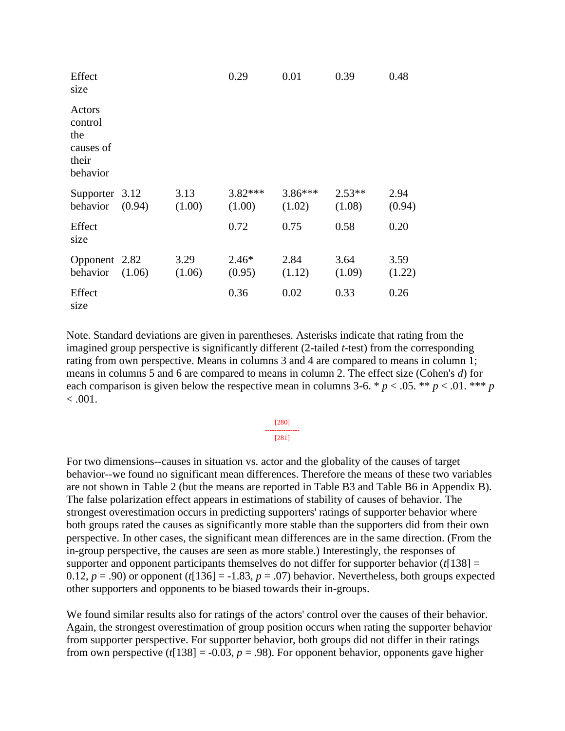| Effect<br>size                                             |        |                | 0.29                | 0.01                | 0.39               | 0.48           |
|------------------------------------------------------------|--------|----------------|---------------------|---------------------|--------------------|----------------|
| Actors<br>control<br>the<br>causes of<br>their<br>behavior |        |                |                     |                     |                    |                |
| Supporter 3.12<br>behavior                                 | (0.94) | 3.13<br>(1.00) | $3.82***$<br>(1.00) | $3.86***$<br>(1.02) | $2.53**$<br>(1.08) | 2.94<br>(0.94) |
| Effect<br>size                                             |        |                | 0.72                | 0.75                | 0.58               | 0.20           |
| Opponent 2.82<br>behavior                                  | (1.06) | 3.29<br>(1.06) | $2.46*$<br>(0.95)   | 2.84<br>(1.12)      | 3.64<br>(1.09)     | 3.59<br>(1.22) |
| Effect<br>size                                             |        |                | 0.36                | 0.02                | 0.33               | 0.26           |

Note. Standard deviations are given in parentheses. Asterisks indicate that rating from the imagined group perspective is significantly different (2-tailed *t*-test) from the corresponding rating from own perspective. Means in columns 3 and 4 are compared to means in column 1; means in columns 5 and 6 are compared to means in column 2. The effect size (Cohen's *d*) for each comparison is given below the respective mean in columns 3-6. \*  $p < .05$ . \*\*  $p < .01$ . \*\*\* *p*  $< .001.$ 

> [280] --------------- [281]

For two dimensions--causes in situation vs. actor and the globality of the causes of target behavior--we found no significant mean differences. Therefore the means of these two variables are not shown in Table 2 (but the means are reported in Table B3 and Table B6 in Appendix B). The false polarization effect appears in estimations of stability of causes of behavior. The strongest overestimation occurs in predicting supporters' ratings of supporter behavior where both groups rated the causes as significantly more stable than the supporters did from their own perspective. In other cases, the significant mean differences are in the same direction. (From the in-group perspective, the causes are seen as more stable.) Interestingly, the responses of supporter and opponent participants themselves do not differ for supporter behavior  $(t[138] =$ 0.12,  $p = .90$ ) or opponent ( $t$ [136] = -1.83,  $p = .07$ ) behavior. Nevertheless, both groups expected other supporters and opponents to be biased towards their in-groups.

We found similar results also for ratings of the actors' control over the causes of their behavior. Again, the strongest overestimation of group position occurs when rating the supporter behavior from supporter perspective. For supporter behavior, both groups did not differ in their ratings from own perspective ( $t$ [138] = -0.03,  $p = .98$ ). For opponent behavior, opponents gave higher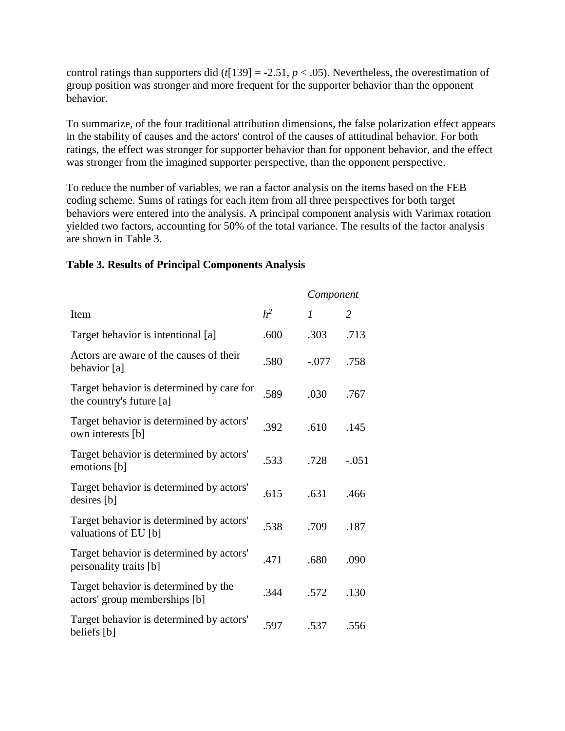control ratings than supporters did ( $t$ [139] = -2.51,  $p$  < .05). Nevertheless, the overestimation of group position was stronger and more frequent for the supporter behavior than the opponent behavior.

To summarize, of the four traditional attribution dimensions, the false polarization effect appears in the stability of causes and the actors' control of the causes of attitudinal behavior. For both ratings, the effect was stronger for supporter behavior than for opponent behavior, and the effect was stronger from the imagined supporter perspective, than the opponent perspective.

To reduce the number of variables, we ran a factor analysis on the items based on the FEB coding scheme. Sums of ratings for each item from all three perspectives for both target behaviors were entered into the analysis. A principal component analysis with Varimax rotation yielded two factors, accounting for 50% of the total variance. The results of the factor analysis are shown in Table 3.

#### **Table 3. Results of Principal Components Analysis**

|                                                                       |                | Component |         |
|-----------------------------------------------------------------------|----------------|-----------|---------|
| Item                                                                  | h <sup>2</sup> | 1         | 2       |
| Target behavior is intentional [a]                                    | .600           | .303      | .713    |
| Actors are aware of the causes of their<br>behavior [a]               | .580           | $-.077$   | .758    |
| Target behavior is determined by care for<br>the country's future [a] | .589           | .030      | .767    |
| Target behavior is determined by actors'<br>own interests [b]         | .392           | .610      | .145    |
| Target behavior is determined by actors'<br>emotions [b]              | .533           | .728      | $-.051$ |
| Target behavior is determined by actors'<br>desires [b]               | .615           | .631      | .466    |
| Target behavior is determined by actors'<br>valuations of EU [b]      | .538           | .709      | .187    |
| Target behavior is determined by actors'<br>personality traits [b]    | .471           | .680      | .090    |
| Target behavior is determined by the<br>actors' group memberships [b] | .344           | .572      | .130    |
| Target behavior is determined by actors'<br>beliefs [b]               | .597           | .537      | .556    |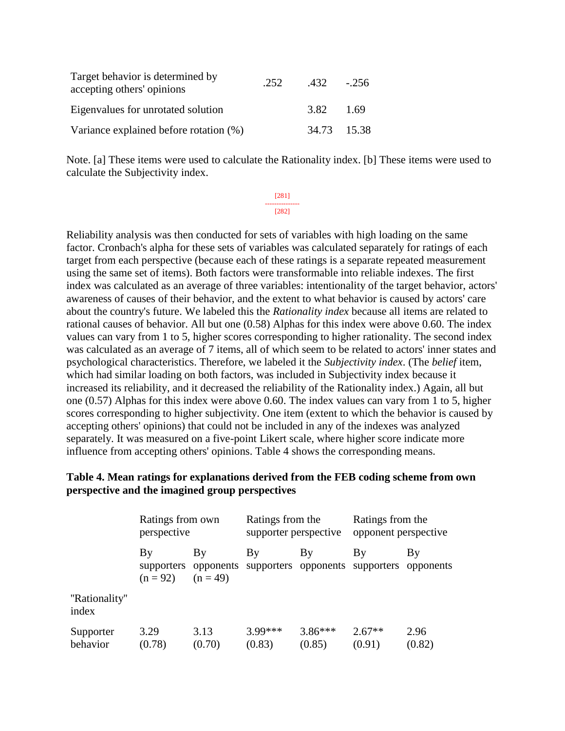| Target behavior is determined by<br>accepting others' opinions | .252 | $.432 - .256$ |        |
|----------------------------------------------------------------|------|---------------|--------|
| Eigenvalues for unrotated solution                             |      | 3.82          | - 1.69 |
| Variance explained before rotation (%)                         |      | 34.73 15.38   |        |

Note. [a] These items were used to calculate the Rationality index. [b] These items were used to calculate the Subjectivity index.

> [281] --------------- [282]

Reliability analysis was then conducted for sets of variables with high loading on the same factor. Cronbach's alpha for these sets of variables was calculated separately for ratings of each target from each perspective (because each of these ratings is a separate repeated measurement using the same set of items). Both factors were transformable into reliable indexes. The first index was calculated as an average of three variables: intentionality of the target behavior, actors' awareness of causes of their behavior, and the extent to what behavior is caused by actors' care about the country's future. We labeled this the *Rationality index* because all items are related to rational causes of behavior. All but one (0.58) Alphas for this index were above 0.60. The index values can vary from 1 to 5, higher scores corresponding to higher rationality. The second index was calculated as an average of 7 items, all of which seem to be related to actors' inner states and psychological characteristics. Therefore, we labeled it the *Subjectivity index*. (The *belief* item, which had similar loading on both factors, was included in Subjectivity index because it increased its reliability, and it decreased the reliability of the Rationality index.) Again, all but one (0.57) Alphas for this index were above 0.60. The index values can vary from 1 to 5, higher scores corresponding to higher subjectivity. One item (extent to which the behavior is caused by accepting others' opinions) that could not be included in any of the indexes was analyzed separately. It was measured on a five-point Likert scale, where higher score indicate more influence from accepting others' opinions. Table 4 shows the corresponding means.

#### **Table 4. Mean ratings for explanations derived from the FEB coding scheme from own perspective and the imagined group perspectives**

|                        | Ratings from own<br>perspective |                  | Ratings from the<br>supporter perspective |                     | Ratings from the<br>opponent perspective                             |                |
|------------------------|---------------------------------|------------------|-------------------------------------------|---------------------|----------------------------------------------------------------------|----------------|
|                        | By<br>$(n = 92)$                | By<br>$(n = 49)$ | By                                        | By                  | By<br>supporters opponents supporters opponents supporters opponents | By             |
| "Rationality"<br>index |                                 |                  |                                           |                     |                                                                      |                |
| Supporter<br>behavior  | 3.29<br>(0.78)                  | 3.13<br>(0.70)   | $3.99***$<br>(0.83)                       | $3.86***$<br>(0.85) | $2.67**$<br>(0.91)                                                   | 2.96<br>(0.82) |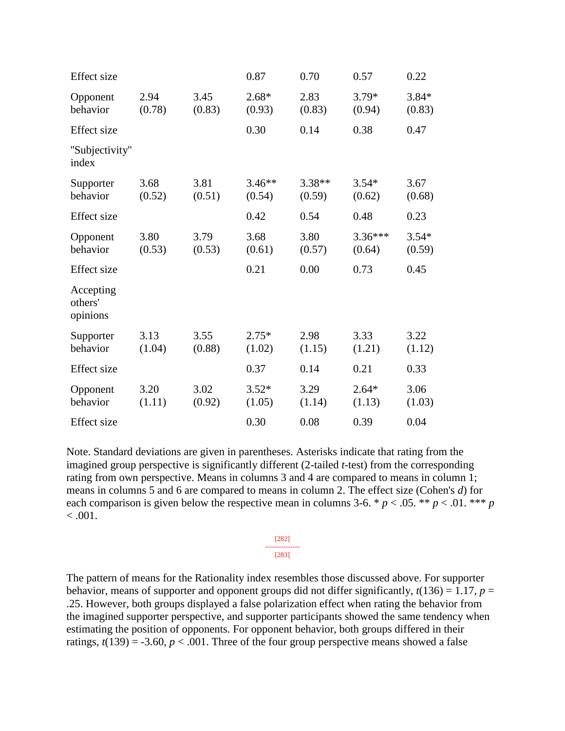| <b>Effect</b> size               |                |                | 0.87               | 0.70             | 0.57                | 0.22              |
|----------------------------------|----------------|----------------|--------------------|------------------|---------------------|-------------------|
| Opponent<br>behavior             | 2.94<br>(0.78) | 3.45<br>(0.83) | $2.68*$<br>(0.93)  | 2.83<br>(0.83)   | $3.79*$<br>(0.94)   | $3.84*$<br>(0.83) |
| <b>Effect</b> size               |                |                | 0.30               | 0.14             | 0.38                | 0.47              |
| "Subjectivity"<br>index          |                |                |                    |                  |                     |                   |
| Supporter<br>behavior            | 3.68<br>(0.52) | 3.81<br>(0.51) | $3.46**$<br>(0.54) | 3.38**<br>(0.59) | $3.54*$<br>(0.62)   | 3.67<br>(0.68)    |
| <b>Effect</b> size               |                |                | 0.42               | 0.54             | 0.48                | 0.23              |
| Opponent<br>behavior             | 3.80<br>(0.53) | 3.79<br>(0.53) | 3.68<br>(0.61)     | 3.80<br>(0.57)   | $3.36***$<br>(0.64) | $3.54*$<br>(0.59) |
| <b>Effect</b> size               |                |                | 0.21               | 0.00             | 0.73                | 0.45              |
| Accepting<br>others'<br>opinions |                |                |                    |                  |                     |                   |
| Supporter<br>behavior            | 3.13<br>(1.04) | 3.55<br>(0.88) | $2.75*$<br>(1.02)  | 2.98<br>(1.15)   | 3.33<br>(1.21)      | 3.22<br>(1.12)    |
| <b>Effect</b> size               |                |                | 0.37               | 0.14             | 0.21                | 0.33              |
| Opponent<br>behavior             | 3.20<br>(1.11) | 3.02<br>(0.92) | $3.52*$<br>(1.05)  | 3.29<br>(1.14)   | $2.64*$<br>(1.13)   | 3.06<br>(1.03)    |
| <b>Effect</b> size               |                |                | 0.30               | 0.08             | 0.39                | 0.04              |

Note. Standard deviations are given in parentheses. Asterisks indicate that rating from the imagined group perspective is significantly different (2-tailed *t*-test) from the corresponding rating from own perspective. Means in columns 3 and 4 are compared to means in column 1; means in columns 5 and 6 are compared to means in column 2. The effect size (Cohen's *d*) for each comparison is given below the respective mean in columns 3-6. \*  $p < .05$ . \*\*  $p < .01$ . \*\*\* *p*  $< 0.001$ .

#### [282] --------------- [283]

The pattern of means for the Rationality index resembles those discussed above. For supporter behavior, means of supporter and opponent groups did not differ significantly,  $t(136) = 1.17$ ,  $p =$ .25. However, both groups displayed a false polarization effect when rating the behavior from the imagined supporter perspective, and supporter participants showed the same tendency when estimating the position of opponents. For opponent behavior, both groups differed in their ratings,  $t(139) = -3.60$ ,  $p < .001$ . Three of the four group perspective means showed a false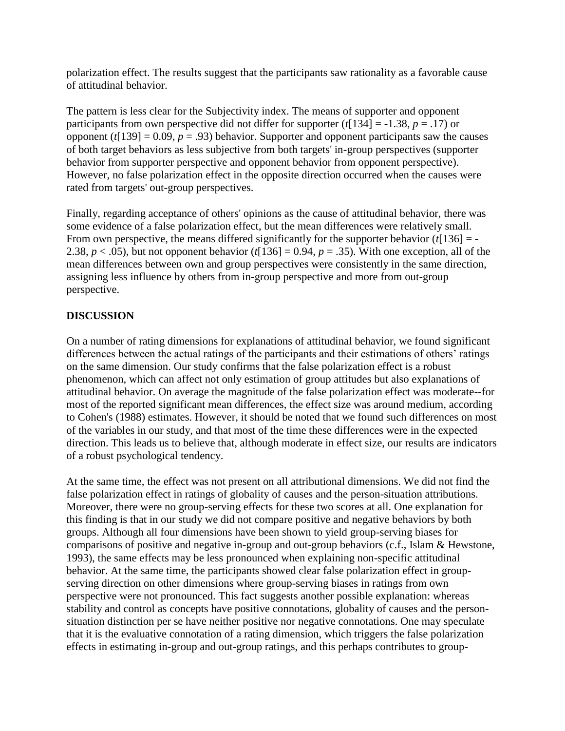polarization effect. The results suggest that the participants saw rationality as a favorable cause of attitudinal behavior.

The pattern is less clear for the Subjectivity index. The means of supporter and opponent participants from own perspective did not differ for supporter ( $t$ [134] = -1.38,  $p = .17$ ) or opponent  $(t[139] = 0.09, p = .93)$  behavior. Supporter and opponent participants saw the causes of both target behaviors as less subjective from both targets' in-group perspectives (supporter behavior from supporter perspective and opponent behavior from opponent perspective). However, no false polarization effect in the opposite direction occurred when the causes were rated from targets' out-group perspectives.

Finally, regarding acceptance of others' opinions as the cause of attitudinal behavior, there was some evidence of a false polarization effect, but the mean differences were relatively small. From own perspective, the means differed significantly for the supporter behavior (*t*[136] = - 2.38,  $p < .05$ ), but not opponent behavior ( $t[136] = 0.94$ ,  $p = .35$ ). With one exception, all of the mean differences between own and group perspectives were consistently in the same direction, assigning less influence by others from in-group perspective and more from out-group perspective.

# **DISCUSSION**

On a number of rating dimensions for explanations of attitudinal behavior, we found significant differences between the actual ratings of the participants and their estimations of others' ratings on the same dimension. Our study confirms that the false polarization effect is a robust phenomenon, which can affect not only estimation of group attitudes but also explanations of attitudinal behavior. On average the magnitude of the false polarization effect was moderate--for most of the reported significant mean differences, the effect size was around medium, according to Cohen's (1988) estimates. However, it should be noted that we found such differences on most of the variables in our study, and that most of the time these differences were in the expected direction. This leads us to believe that, although moderate in effect size, our results are indicators of a robust psychological tendency.

At the same time, the effect was not present on all attributional dimensions. We did not find the false polarization effect in ratings of globality of causes and the person-situation attributions. Moreover, there were no group-serving effects for these two scores at all. One explanation for this finding is that in our study we did not compare positive and negative behaviors by both groups. Although all four dimensions have been shown to yield group-serving biases for comparisons of positive and negative in-group and out-group behaviors (c.f., Islam & Hewstone, 1993), the same effects may be less pronounced when explaining non-specific attitudinal behavior. At the same time, the participants showed clear false polarization effect in groupserving direction on other dimensions where group-serving biases in ratings from own perspective were not pronounced. This fact suggests another possible explanation: whereas stability and control as concepts have positive connotations, globality of causes and the personsituation distinction per se have neither positive nor negative connotations. One may speculate that it is the evaluative connotation of a rating dimension, which triggers the false polarization effects in estimating in-group and out-group ratings, and this perhaps contributes to group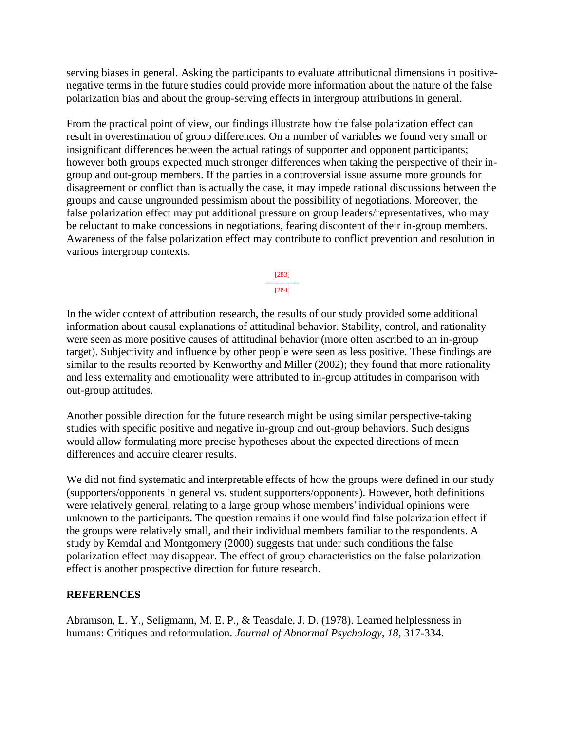serving biases in general. Asking the participants to evaluate attributional dimensions in positivenegative terms in the future studies could provide more information about the nature of the false polarization bias and about the group-serving effects in intergroup attributions in general.

From the practical point of view, our findings illustrate how the false polarization effect can result in overestimation of group differences. On a number of variables we found very small or insignificant differences between the actual ratings of supporter and opponent participants; however both groups expected much stronger differences when taking the perspective of their ingroup and out-group members. If the parties in a controversial issue assume more grounds for disagreement or conflict than is actually the case, it may impede rational discussions between the groups and cause ungrounded pessimism about the possibility of negotiations. Moreover, the false polarization effect may put additional pressure on group leaders/representatives, who may be reluctant to make concessions in negotiations, fearing discontent of their in-group members. Awareness of the false polarization effect may contribute to conflict prevention and resolution in various intergroup contexts.

> [283] --------------- [284]

In the wider context of attribution research, the results of our study provided some additional information about causal explanations of attitudinal behavior. Stability, control, and rationality were seen as more positive causes of attitudinal behavior (more often ascribed to an in-group target). Subjectivity and influence by other people were seen as less positive. These findings are similar to the results reported by Kenworthy and Miller (2002); they found that more rationality and less externality and emotionality were attributed to in-group attitudes in comparison with out-group attitudes.

Another possible direction for the future research might be using similar perspective-taking studies with specific positive and negative in-group and out-group behaviors. Such designs would allow formulating more precise hypotheses about the expected directions of mean differences and acquire clearer results.

We did not find systematic and interpretable effects of how the groups were defined in our study (supporters/opponents in general vs. student supporters/opponents). However, both definitions were relatively general, relating to a large group whose members' individual opinions were unknown to the participants. The question remains if one would find false polarization effect if the groups were relatively small, and their individual members familiar to the respondents. A study by Kemdal and Montgomery (2000) suggests that under such conditions the false polarization effect may disappear. The effect of group characteristics on the false polarization effect is another prospective direction for future research.

# **REFERENCES**

Abramson, L. Y., Seligmann, M. E. P., & Teasdale, J. D. (1978). Learned helplessness in humans: Critiques and reformulation. *Journal of Abnormal Psychology, 18,* 317-334.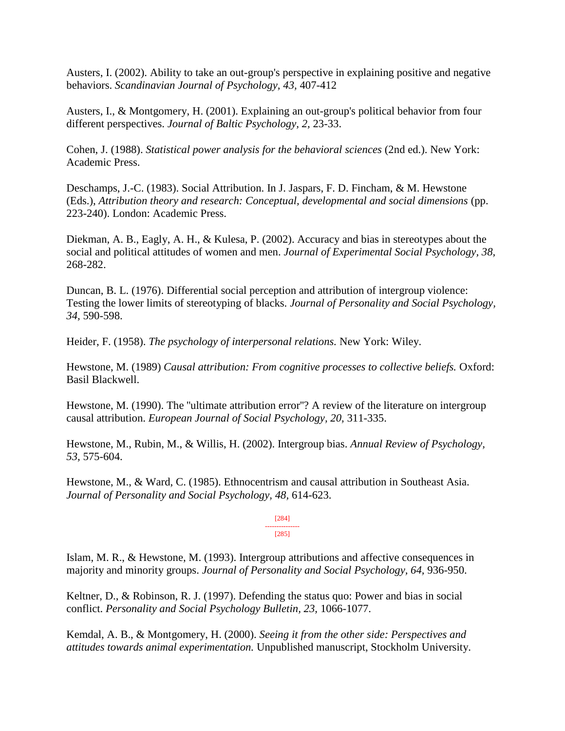Austers, I. (2002). Ability to take an out-group's perspective in explaining positive and negative behaviors. *Scandinavian Journal of Psychology, 43,* 407-412

Austers, I., & Montgomery, H. (2001). Explaining an out-group's political behavior from four different perspectives. *Journal of Baltic Psychology, 2,* 23-33.

Cohen, J. (1988). *Statistical power analysis for the behavioral sciences* (2nd ed.). New York: Academic Press.

Deschamps, J.-C. (1983). Social Attribution. In J. Jaspars, F. D. Fincham, & M. Hewstone (Eds.), *Attribution theory and research: Conceptual, developmental and social dimensions* (pp. 223-240). London: Academic Press.

Diekman, A. B., Eagly, A. H., & Kulesa, P. (2002). Accuracy and bias in stereotypes about the social and political attitudes of women and men. *Journal of Experimental Social Psychology, 38,* 268-282.

Duncan, B. L. (1976). Differential social perception and attribution of intergroup violence: Testing the lower limits of stereotyping of blacks. *Journal of Personality and Social Psychology, 34,* 590-598.

Heider, F. (1958). *The psychology of interpersonal relations.* New York: Wiley.

Hewstone, M. (1989) *Causal attribution: From cognitive processes to collective beliefs.* Oxford: Basil Blackwell.

Hewstone, M. (1990). The "ultimate attribution error"? A review of the literature on intergroup causal attribution. *European Journal of Social Psychology, 20,* 311-335.

Hewstone, M., Rubin, M., & Willis, H. (2002). Intergroup bias. *Annual Review of Psychology, 53,* 575-604.

Hewstone, M., & Ward, C. (1985). Ethnocentrism and causal attribution in Southeast Asia. *Journal of Personality and Social Psychology, 48,* 614-623.

> [284] --------------- [285]

Islam, M. R., & Hewstone, M. (1993). Intergroup attributions and affective consequences in majority and minority groups. *Journal of Personality and Social Psychology, 64,* 936-950.

Keltner, D., & Robinson, R. J. (1997). Defending the status quo: Power and bias in social conflict. *Personality and Social Psychology Bulletin, 23,* 1066-1077.

Kemdal, A. B., & Montgomery, H. (2000). *Seeing it from the other side: Perspectives and attitudes towards animal experimentation.* Unpublished manuscript, Stockholm University.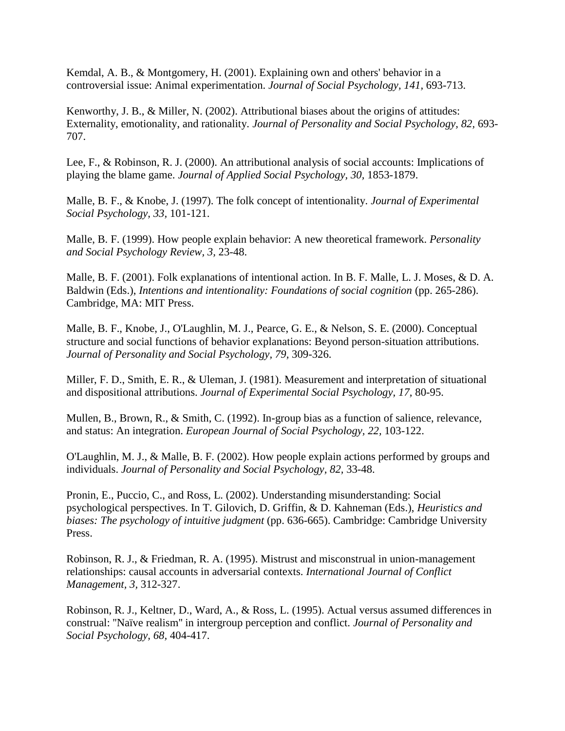Kemdal, A. B., & Montgomery, H. (2001). Explaining own and others' behavior in a controversial issue: Animal experimentation. *Journal of Social Psychology, 141,* 693-713.

Kenworthy, J. B., & Miller, N. (2002). Attributional biases about the origins of attitudes: Externality, emotionality, and rationality. *Journal of Personality and Social Psychology, 82,* 693- 707.

Lee, F., & Robinson, R. J. (2000). An attributional analysis of social accounts: Implications of playing the blame game. *Journal of Applied Social Psychology, 30,* 1853-1879.

Malle, B. F., & Knobe, J. (1997). The folk concept of intentionality. *Journal of Experimental Social Psychology, 33,* 101-121.

Malle, B. F. (1999). How people explain behavior: A new theoretical framework. *Personality and Social Psychology Review, 3,* 23-48.

Malle, B. F. (2001). Folk explanations of intentional action. In B. F. Malle, L. J. Moses, & D. A. Baldwin (Eds.), *Intentions and intentionality: Foundations of social cognition* (pp. 265-286). Cambridge, MA: MIT Press.

Malle, B. F., Knobe, J., O'Laughlin, M. J., Pearce, G. E., & Nelson, S. E. (2000). Conceptual structure and social functions of behavior explanations: Beyond person-situation attributions. *Journal of Personality and Social Psychology, 79,* 309-326.

Miller, F. D., Smith, E. R., & Uleman, J. (1981). Measurement and interpretation of situational and dispositional attributions. *Journal of Experimental Social Psychology, 17,* 80-95.

Mullen, B., Brown, R., & Smith, C. (1992). In-group bias as a function of salience, relevance, and status: An integration. *European Journal of Social Psychology, 22,* 103-122.

O'Laughlin, M. J., & Malle, B. F. (2002). How people explain actions performed by groups and individuals. *Journal of Personality and Social Psychology, 82,* 33-48.

Pronin, E., Puccio, C., and Ross, L. (2002). Understanding misunderstanding: Social psychological perspectives. In T. Gilovich, D. Griffin, & D. Kahneman (Eds.), *Heuristics and biases: The psychology of intuitive judgment* (pp. 636-665). Cambridge: Cambridge University Press.

Robinson, R. J., & Friedman, R. A. (1995). Mistrust and misconstrual in union-management relationships: causal accounts in adversarial contexts. *International Journal of Conflict Management, 3,* 312-327.

Robinson, R. J., Keltner, D., Ward, A., & Ross, L. (1995). Actual versus assumed differences in construal: ''Naïve realism'' in intergroup perception and conflict. *Journal of Personality and Social Psychology, 68,* 404-417.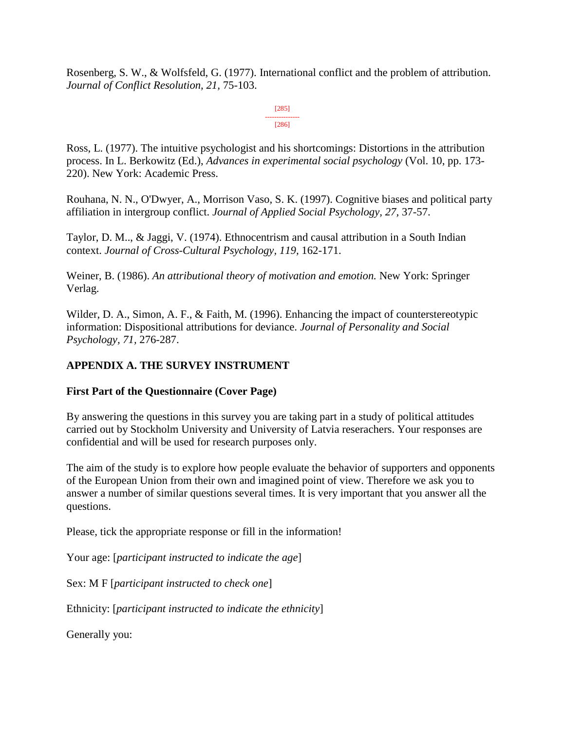Rosenberg, S. W., & Wolfsfeld, G. (1977). International conflict and the problem of attribution. *Journal of Conflict Resolution, 21,* 75-103.

> [285] --------------- [286]

Ross, L. (1977). The intuitive psychologist and his shortcomings: Distortions in the attribution process. In L. Berkowitz (Ed.), *Advances in experimental social psychology* (Vol. 10, pp. 173- 220). New York: Academic Press.

Rouhana, N. N., O'Dwyer, A., Morrison Vaso, S. K. (1997). Cognitive biases and political party affiliation in intergroup conflict. *Journal of Applied Social Psychology, 27,* 37-57.

Taylor, D. M.., & Jaggi, V. (1974). Ethnocentrism and causal attribution in a South Indian context. *Journal of Cross-Cultural Psychology, 119,* 162-171.

Weiner, B. (1986). *An attributional theory of motivation and emotion.* New York: Springer Verlag.

Wilder, D. A., Simon, A. F., & Faith, M. (1996). Enhancing the impact of counterstereotypic information: Dispositional attributions for deviance. *Journal of Personality and Social Psychology, 71,* 276-287.

# **APPENDIX A. THE SURVEY INSTRUMENT**

# **First Part of the Questionnaire (Cover Page)**

By answering the questions in this survey you are taking part in a study of political attitudes carried out by Stockholm University and University of Latvia reserachers. Your responses are confidential and will be used for research purposes only.

The aim of the study is to explore how people evaluate the behavior of supporters and opponents of the European Union from their own and imagined point of view. Therefore we ask you to answer a number of similar questions several times. It is very important that you answer all the questions.

Please, tick the appropriate response or fill in the information!

Your age: [*participant instructed to indicate the age*]

Sex: M F [*participant instructed to check one*]

Ethnicity: [*participant instructed to indicate the ethnicity*]

Generally you: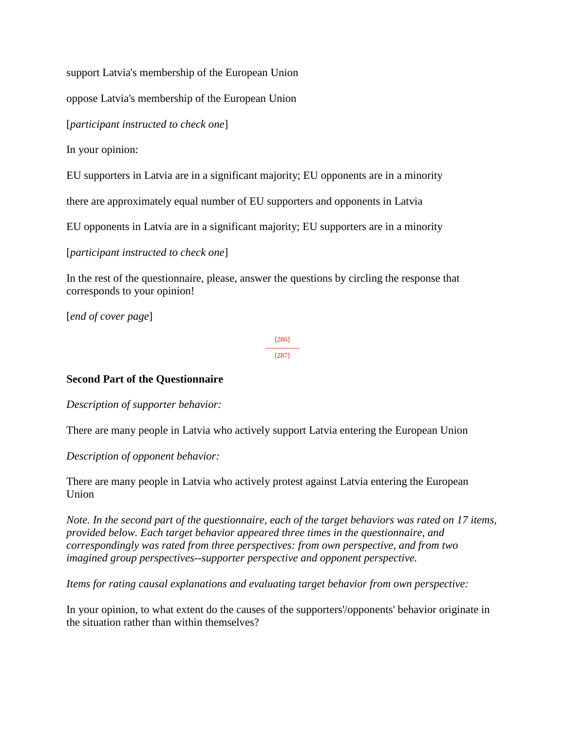support Latvia's membership of the European Union

oppose Latvia's membership of the European Union

[*participant instructed to check one*]

In your opinion:

EU supporters in Latvia are in a significant majority; EU opponents are in a minority

there are approximately equal number of EU supporters and opponents in Latvia

EU opponents in Latvia are in a significant majority; EU supporters are in a minority

[*participant instructed to check one*]

In the rest of the questionnaire, please, answer the questions by circling the response that corresponds to your opinion!

[*end of cover page*]

[286] --------------- [287]

# **Second Part of the Questionnaire**

*Description of supporter behavior:*

There are many people in Latvia who actively support Latvia entering the European Union

*Description of opponent behavior:*

There are many people in Latvia who actively protest against Latvia entering the European Union

*Note. In the second part of the questionnaire, each of the target behaviors was rated on 17 items, provided below. Each target behavior appeared three times in the questionnaire, and correspondingly was rated from three perspectives: from own perspective, and from two imagined group perspectives--supporter perspective and opponent perspective.*

*Items for rating causal explanations and evaluating target behavior from own perspective:*

In your opinion, to what extent do the causes of the supporters'/opponents' behavior originate in the situation rather than within themselves?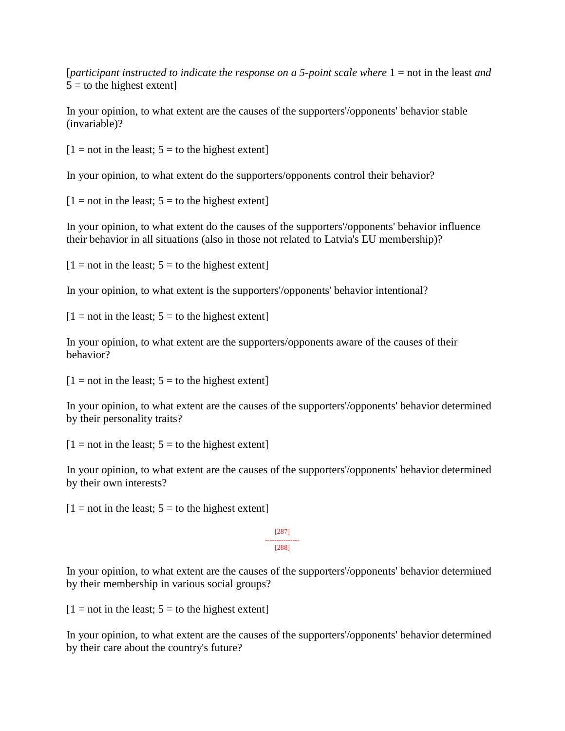[*participant instructed to indicate the response on a 5-point scale where* 1 = not in the least *and*  $5 =$  to the highest extent

In your opinion, to what extent are the causes of the supporters'/opponents' behavior stable (invariable)?

 $[1 = not in the least; 5 = to the highest extent]$ 

In your opinion, to what extent do the supporters/opponents control their behavior?

 $[1 = not in the least; 5 = to the highest extent]$ 

In your opinion, to what extent do the causes of the supporters'/opponents' behavior influence their behavior in all situations (also in those not related to Latvia's EU membership)?

 $[1 = not in the least; 5 = to the highest extent]$ 

In your opinion, to what extent is the supporters'/opponents' behavior intentional?

 $[1 = not in the least; 5 = to the highest extent]$ 

In your opinion, to what extent are the supporters/opponents aware of the causes of their behavior?

 $[1 = not in the least; 5 = to the highest extent]$ 

In your opinion, to what extent are the causes of the supporters'/opponents' behavior determined by their personality traits?

 $[1 = not in the least; 5 = to the highest extent]$ 

In your opinion, to what extent are the causes of the supporters'/opponents' behavior determined by their own interests?

 $[1 = not in the least; 5 = to the highest extent]$ 

[287] --------------- [288]

In your opinion, to what extent are the causes of the supporters'/opponents' behavior determined by their membership in various social groups?

 $[1 = not in the least; 5 = to the highest extent]$ 

In your opinion, to what extent are the causes of the supporters'/opponents' behavior determined by their care about the country's future?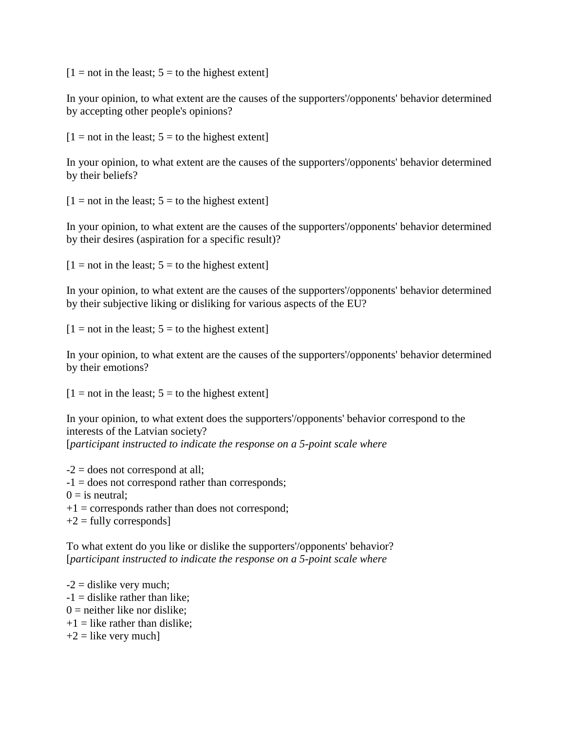$[1 = not in the least; 5 = to the highest extent]$ 

In your opinion, to what extent are the causes of the supporters'/opponents' behavior determined by accepting other people's opinions?

 $[1 = not in the least; 5 = to the highest extent]$ 

In your opinion, to what extent are the causes of the supporters'/opponents' behavior determined by their beliefs?

 $[1 = not in the least; 5 = to the highest extent]$ 

In your opinion, to what extent are the causes of the supporters'/opponents' behavior determined by their desires (aspiration for a specific result)?

 $[1 = not in the least; 5 = to the highest extent]$ 

In your opinion, to what extent are the causes of the supporters'/opponents' behavior determined by their subjective liking or disliking for various aspects of the EU?

 $[1 = not in the least; 5 = to the highest extent]$ 

In your opinion, to what extent are the causes of the supporters'/opponents' behavior determined by their emotions?

 $[1 = not in the least; 5 = to the highest extent]$ 

In your opinion, to what extent does the supporters'/opponents' behavior correspond to the interests of the Latvian society? [*participant instructed to indicate the response on a 5-point scale where*

 $-2$  = does not correspond at all; -1 = does not correspond rather than corresponds;  $0 =$  is neutral:  $+1$  = corresponds rather than does not correspond;  $+2$  = fully corresponds]

To what extent do you like or dislike the supporters'/opponents' behavior? [*participant instructed to indicate the response on a 5-point scale where*

 $-2$  = dislike very much;  $-1$  = dislike rather than like;  $0 =$  neither like nor dislike:  $+1$  = like rather than dislike;  $+2$  = like very much]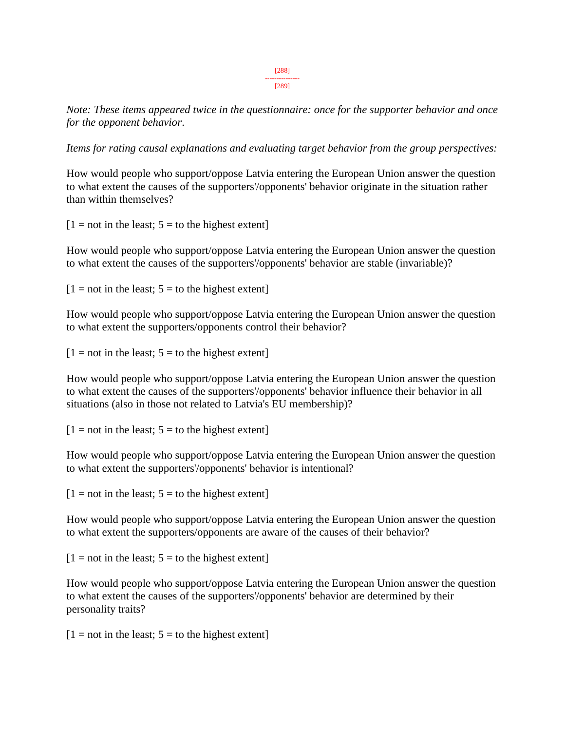*Note: These items appeared twice in the questionnaire: once for the supporter behavior and once for the opponent behavior*.

*Items for rating causal explanations and evaluating target behavior from the group perspectives:*

How would people who support/oppose Latvia entering the European Union answer the question to what extent the causes of the supporters'/opponents' behavior originate in the situation rather than within themselves?

 $[1 = not in the least; 5 = to the highest extent]$ 

How would people who support/oppose Latvia entering the European Union answer the question to what extent the causes of the supporters'/opponents' behavior are stable (invariable)?

 $[1 = not in the least; 5 = to the highest extent]$ 

How would people who support/oppose Latvia entering the European Union answer the question to what extent the supporters/opponents control their behavior?

 $[1 = not in the least; 5 = to the highest extent]$ 

How would people who support/oppose Latvia entering the European Union answer the question to what extent the causes of the supporters'/opponents' behavior influence their behavior in all situations (also in those not related to Latvia's EU membership)?

 $[1 = not in the least; 5 = to the highest extent]$ 

How would people who support/oppose Latvia entering the European Union answer the question to what extent the supporters'/opponents' behavior is intentional?

 $[1 = not in the least; 5 = to the highest extent]$ 

How would people who support/oppose Latvia entering the European Union answer the question to what extent the supporters/opponents are aware of the causes of their behavior?

 $[1 = not in the least; 5 = to the highest extent]$ 

How would people who support/oppose Latvia entering the European Union answer the question to what extent the causes of the supporters'/opponents' behavior are determined by their personality traits?

 $[1 = not in the least; 5 = to the highest extent]$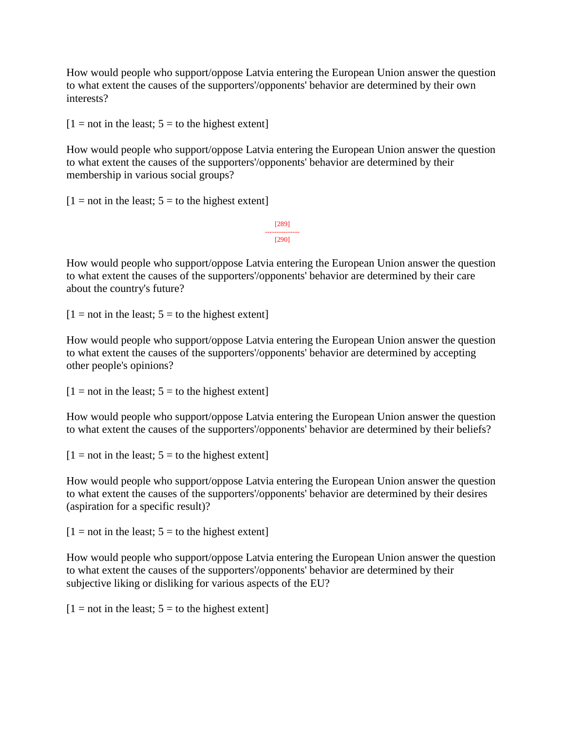How would people who support/oppose Latvia entering the European Union answer the question to what extent the causes of the supporters'/opponents' behavior are determined by their own interests?

 $[1 = not in the least; 5 = to the highest extent]$ 

How would people who support/oppose Latvia entering the European Union answer the question to what extent the causes of the supporters'/opponents' behavior are determined by their membership in various social groups?

 $[1 = not in the least; 5 = to the highest extent]$ 

[289] --------------- [290]

How would people who support/oppose Latvia entering the European Union answer the question to what extent the causes of the supporters'/opponents' behavior are determined by their care about the country's future?

 $[1 = not in the least; 5 = to the highest extent]$ 

How would people who support/oppose Latvia entering the European Union answer the question to what extent the causes of the supporters'/opponents' behavior are determined by accepting other people's opinions?

 $[1 = not in the least; 5 = to the highest extent]$ 

How would people who support/oppose Latvia entering the European Union answer the question to what extent the causes of the supporters'/opponents' behavior are determined by their beliefs?

 $[1 = not in the least; 5 = to the highest extent]$ 

How would people who support/oppose Latvia entering the European Union answer the question to what extent the causes of the supporters'/opponents' behavior are determined by their desires (aspiration for a specific result)?

 $[1 = not in the least; 5 = to the highest extent]$ 

How would people who support/oppose Latvia entering the European Union answer the question to what extent the causes of the supporters'/opponents' behavior are determined by their subjective liking or disliking for various aspects of the EU?

 $[1 = not in the least; 5 = to the highest extent]$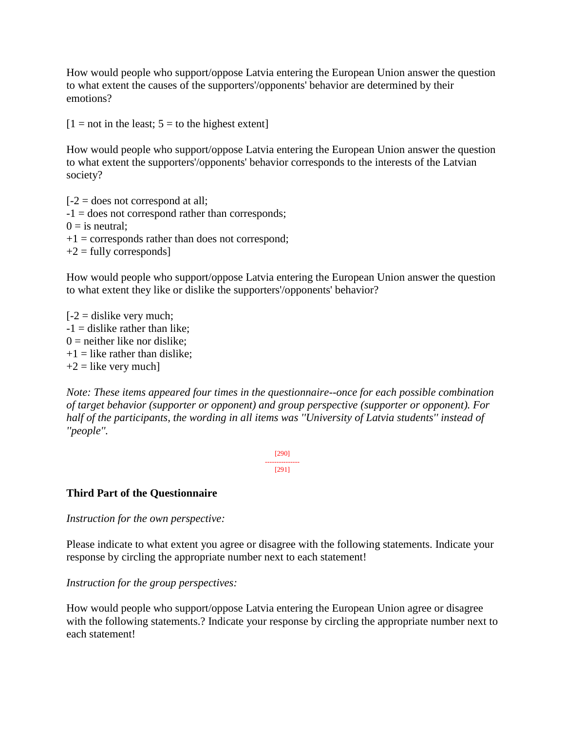How would people who support/oppose Latvia entering the European Union answer the question to what extent the causes of the supporters'/opponents' behavior are determined by their emotions?

 $[1 = not in the least; 5 = to the highest extent]$ 

How would people who support/oppose Latvia entering the European Union answer the question to what extent the supporters'/opponents' behavior corresponds to the interests of the Latvian society?

 $[-2]$  = does not correspond at all; -1 = does not correspond rather than corresponds;  $0 =$  is neutral:  $+1$  = corresponds rather than does not correspond;  $+2$  = fully corresponds]

How would people who support/oppose Latvia entering the European Union answer the question to what extent they like or dislike the supporters'/opponents' behavior?

 $[-2]$  = dislike very much;  $-1$  = dislike rather than like;  $0 =$  neither like nor dislike:  $+1$  = like rather than dislike;  $+2$  = like very much]

*Note: These items appeared four times in the questionnaire--once for each possible combination of target behavior (supporter or opponent) and group perspective (supporter or opponent). For half of the participants, the wording in all items was ''University of Latvia students'' instead of ''people''.*

> [290] --------------- [291]

# **Third Part of the Questionnaire**

*Instruction for the own perspective:*

Please indicate to what extent you agree or disagree with the following statements. Indicate your response by circling the appropriate number next to each statement!

*Instruction for the group perspectives:*

How would people who support/oppose Latvia entering the European Union agree or disagree with the following statements.? Indicate your response by circling the appropriate number next to each statement!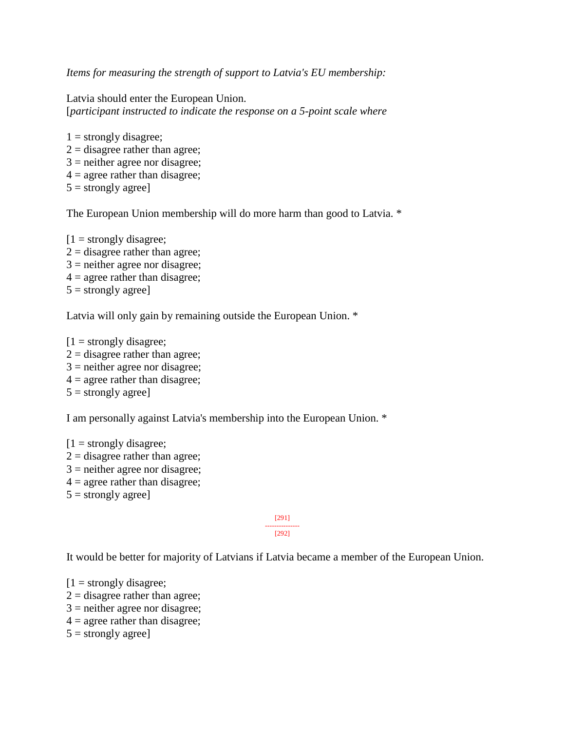*Items for measuring the strength of support to Latvia's EU membership:*

Latvia should enter the European Union. [*participant instructed to indicate the response on a 5-point scale where*

 $1 =$  strongly disagree;  $2 =$  disagree rather than agree;  $3$  = neither agree nor disagree;  $4 =$  agree rather than disagree;  $5 =$  strongly agree]

The European Union membership will do more harm than good to Latvia. \*

 $[1 =$  strongly disagree;  $2 =$  disagree rather than agree;  $3$  = neither agree nor disagree;  $4 =$  agree rather than disagree;  $5 =$  strongly agree]

Latvia will only gain by remaining outside the European Union.  $*$ 

 $[1 =$  strongly disagree;  $2 =$  disagree rather than agree;  $3$  = neither agree nor disagree;  $4 =$  agree rather than disagree;  $5 =$  strongly agree]

I am personally against Latvia's membership into the European Union. \*

 $[1 =$  strongly disagree;  $2 =$  disagree rather than agree;  $3$  = neither agree nor disagree;  $4 =$  agree rather than disagree;  $5 =$  strongly agree]

#### [291] --------------- [292]

It would be better for majority of Latvians if Latvia became a member of the European Union.

 $[1 =$  strongly disagree;  $2 =$  disagree rather than agree;  $3$  = neither agree nor disagree;  $4 =$  agree rather than disagree;  $5 =$  strongly agree]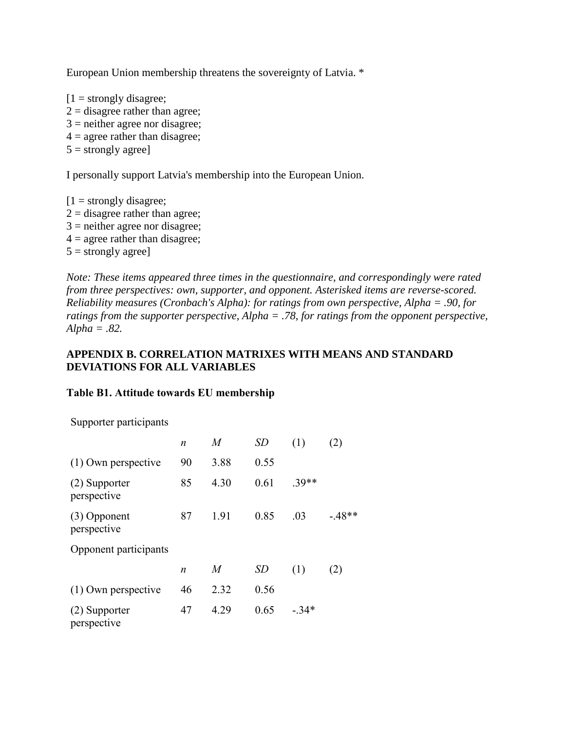European Union membership threatens the sovereignty of Latvia. \*

 $[1 =$  strongly disagree;  $2 =$  disagree rather than agree;  $3$  = neither agree nor disagree;  $4 =$  agree rather than disagree;  $5 =$  strongly agree]

I personally support Latvia's membership into the European Union.

 $[1 =$  strongly disagree;  $2 =$  disagree rather than agree;  $3$  = neither agree nor disagree;  $4 =$  agree rather than disagree;  $5 =$  strongly agree]

*Note: These items appeared three times in the questionnaire, and correspondingly were rated from three perspectives: own, supporter, and opponent. Asterisked items are reverse-scored. Reliability measures (Cronbach's Alpha): for ratings from own perspective, Alpha = .90, for ratings from the supporter perspective, Alpha = .78, for ratings from the opponent perspective, Alpha = .82.*

#### **APPENDIX B. CORRELATION MATRIXES WITH MEANS AND STANDARD DEVIATIONS FOR ALL VARIABLES**

#### **Table B1. Attitude towards EU membership**

Supporter participants

|                              | n  | M    | SD   | (1)     | (2)     |
|------------------------------|----|------|------|---------|---------|
| $(1)$ Own perspective        | 90 | 3.88 | 0.55 |         |         |
| (2) Supporter<br>perspective | 85 | 4.30 | 0.61 | $.39**$ |         |
| (3) Opponent<br>perspective  | 87 | 1.91 | 0.85 | .03     | $-48**$ |
| Opponent participants        |    |      |      |         |         |
|                              | n  | M    | SD   | (1)     | (2)     |
| $(1)$ Own perspective        | 46 | 2.32 | 0.56 |         |         |
| (2) Supporter<br>perspective | 47 | 4.29 | 0.65 | $-.34*$ |         |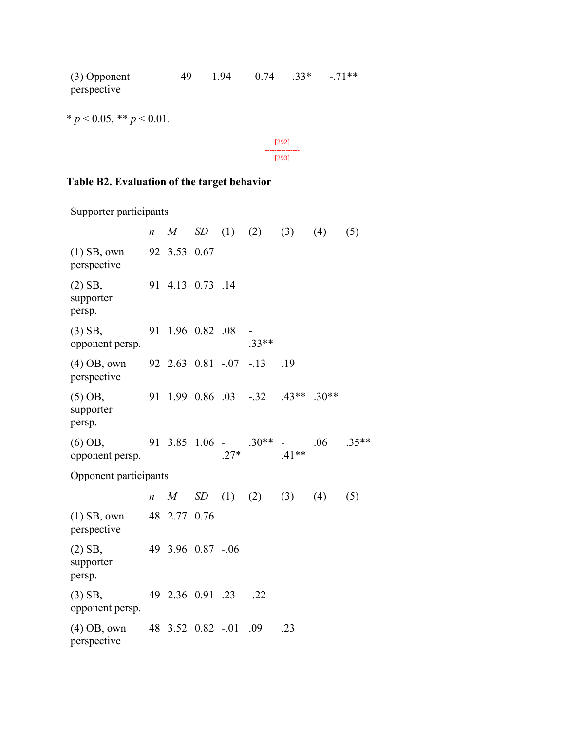(3) Opponent perspective 49 1.94 0.74 .33\* -.71\*\*

\*  $p < 0.05$ , \*\*  $p < 0.01$ .



# **Table B2. Evaluation of the target behavior**

Supporter participants

|                                  | $\boldsymbol{n}$ | M                     |        |                              | SD(1) (2) (3) (4)                 |     | (5)     |
|----------------------------------|------------------|-----------------------|--------|------------------------------|-----------------------------------|-----|---------|
| $(1)$ SB, own<br>perspective     |                  | 92 3.53 0.67          |        |                              |                                   |     |         |
| $(2)$ SB,<br>supporter<br>persp. |                  | 91 4.13 0.73 .14      |        |                              |                                   |     |         |
| $(3)$ SB,<br>opponent persp.     | 91               | 1.96 0.82 .08         |        | $33**$                       |                                   |     |         |
| $(4)$ OB, own<br>perspective     |                  |                       |        | $92, 2.63, 0.81, -0.07, -13$ | .19                               |     |         |
| $(5)$ OB,<br>supporter<br>persp. |                  |                       |        |                              | 91 1.99 0.86 .03 -.32 .43** .30** |     |         |
| $(6)$ OB,<br>opponent persp.     |                  |                       | $.27*$ | 91 3.85 1.06 - .30**         | $.41**$                           | .06 | $.35**$ |
| Opponent participants            |                  |                       |        |                              |                                   |     |         |
|                                  | $\boldsymbol{n}$ |                       |        | $M$ SD (1) (2) (3)           |                                   | (4) | (5)     |
| $(1)$ SB, own<br>perspective     |                  | 48 2.77 0.76          |        |                              |                                   |     |         |
| $(2)$ SB,<br>supporter<br>persp. |                  | 49 3.96 0.87 -.06     |        |                              |                                   |     |         |
| $(3)$ SB,<br>opponent persp.     |                  | 49 2.36 0.91 .23 -.22 |        |                              |                                   |     |         |
| $(4)$ OB, own<br>perspective     |                  | 48 3.52 0.82 -.01     |        | .09                          | .23                               |     |         |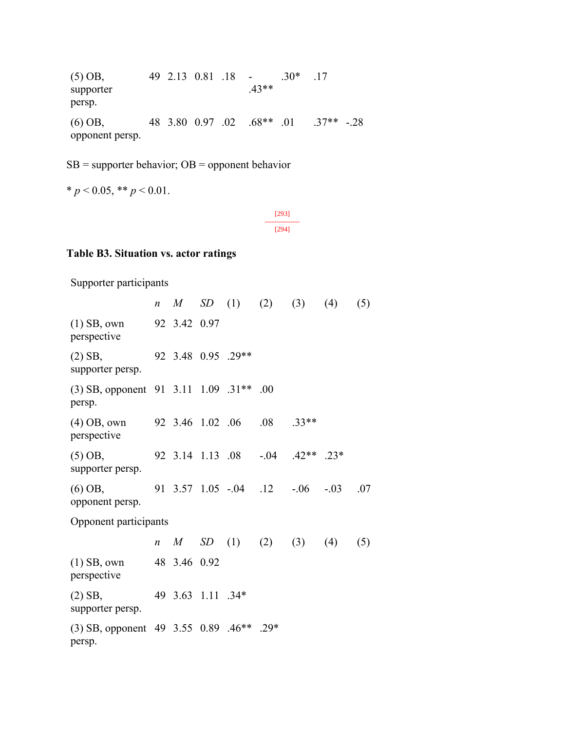(5) OB, supporter persp. 49 2.13 0.81 .18 - .43\*\* .30\* .17 (6) OB, opponent persp. 48 3.80 0.97 .02 .68\*\* .01 .37\*\* -.28

 $SB =$  supporter behavior;  $OB =$  opponent behavior

$$
* p < 0.05, ** p < 0.01.
$$

[293] --------------- [294]

#### **Table B3. Situation vs. actor ratings**

Supporter participants *n M SD* (1) (2) (3) (4) (5) (1) SB, own perspective 92 3.42 0.97 (2) SB, supporter persp. 92 3.48 0.95 .29\*\* (3) SB, opponent 91 3.11 1.09 .31\*\* .00 persp. (4) OB, own perspective 92 3.46 1.02 .06 .08 .33\*\* (5) OB, supporter persp. 92 3.14 1.13 .08 -.04 .42\*\* .23\* (6) OB, opponent persp. 91 3.57 1.05 -.04 .12 -.06 -.03 .07 Opponent participants *n M SD* (1) (2) (3) (4) (5) (1) SB, own perspective 48 3.46 0.92 (2) SB, supporter persp. 49 3.63 1.11 .34\* (3) SB, opponent 49 3.55 0.89 .46\*\* .29\*persp.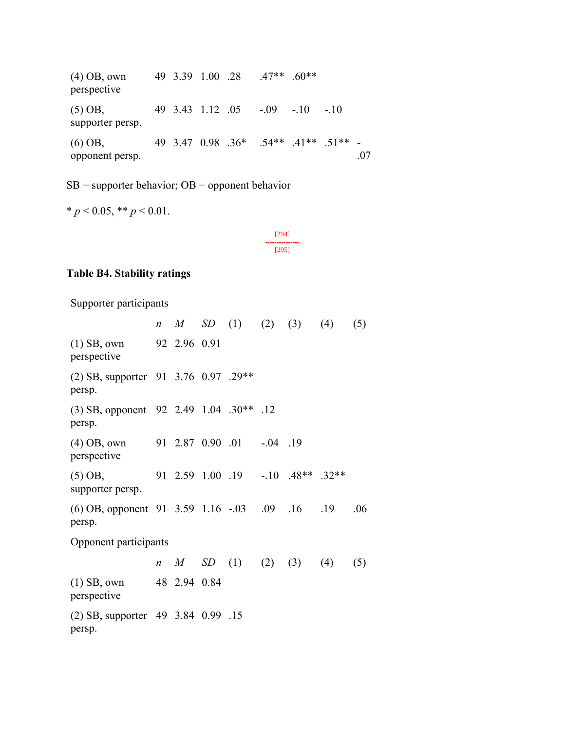(4) OB, own perspective 49 3.39 1.00 .28 .47\*\* .60\*\* (5) OB, supporter persp. 49 3.43 1.12 .05 -.09 -.10 -.10 (6) OB, opponent persp. 49 3.47 0.98 .36\* .54\*\* .41\*\* .51\*\* - .07

 $SB =$  supporter behavior;  $OB =$  opponent behavior

 $* p < 0.05$ ,  $* p < 0.01$ .

[294] --------------- [295]

#### **Table B4. Stability ratings**

Supporter participants

*n M SD* (1) (2) (3) (4) (5) (1) SB, own perspective 92 2.96 0.91 (2) SB, supporter 91 3.76 0.97 .29\*\* persp. (3) SB, opponent 92 2.49 1.04 .30\*\* .12 persp. (4) OB, own perspective 91 2.87 0.90 .01 -.04 .19 (5) OB, supporter persp. 91 2.59 1.00 .19 -.10 .48\*\* .32\*\* (6) OB, opponent 91 3.59 1.16 -.03 .09 .16 .19 .06 persp. Opponent participants *n M SD* (1) (2) (3) (4) (5) (1) SB, own perspective 48 2.94 0.84 (2) SB, supporter 49 3.84 0.99 .15persp.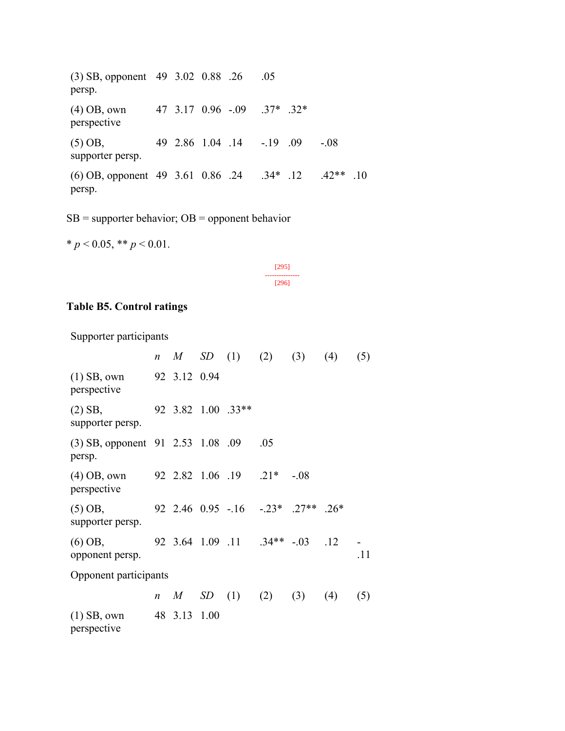(3) SB, opponent 49 3.02 0.88 .26 .05 persp. (4) OB, own perspective 47 3.17 0.96 -.09 .37\* .32\* (5) OB, supporter persp. 49 2.86 1.04 .14 -.19 .09 -.08 (6) OB, opponent 49 3.61 0.86 .24 .34\* .12 .42\*\* .10 persp.

 $SB =$  supporter behavior;  $OB =$  opponent behavior

 $* p < 0.05, ** p < 0.01.$ 

| ٠<br>۰ |
|--------|
| c      |

# **Table B5. Control ratings**

Supporter participants

|                                             | $\boldsymbol{n}$ | M            | SD(1)                         | (2) | (3)    | (4)    | (5) |
|---------------------------------------------|------------------|--------------|-------------------------------|-----|--------|--------|-----|
| $(1)$ SB, own<br>perspective                |                  | 92 3.12 0.94 |                               |     |        |        |     |
| $(2)$ SB,<br>supporter persp.               |                  |              | 92 3.82 1.00 .33**            |     |        |        |     |
| (3) SB, opponent 91 2.53 1.08 .09<br>persp. |                  |              |                               | .05 |        |        |     |
| $(4)$ OB, own<br>perspective                |                  |              | 92 2.82 1.06 .19 .21*         |     | $-.08$ |        |     |
| $(5)$ OB,<br>supporter persp.               |                  |              | 92 2.46 0.95 - 16 - 23* .27** |     |        | $.26*$ |     |
| $(6)$ OB,<br>opponent persp.                |                  |              | 92 3.64 1.09 .11 .34** -.03   |     |        | .12    | .11 |
| Opponent participants                       |                  |              |                               |     |        |        |     |
|                                             | $\boldsymbol{n}$ |              | $M$ SD (1) (2)                |     | (3)    | (4)    | (5) |
| $(1)$ SB, own<br>perspective                |                  | 48 3.13 1.00 |                               |     |        |        |     |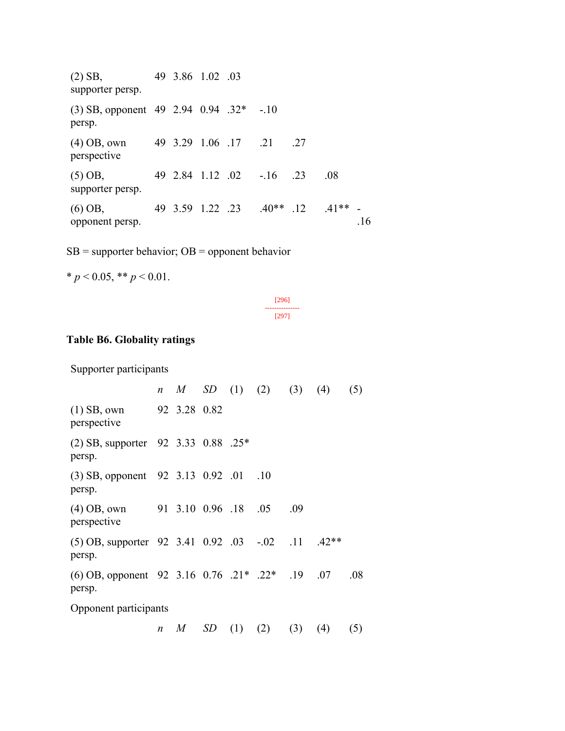(2) SB, supporter persp. 49 3.86 1.02 .03 (3) SB, opponent 49 2.94 0.94 .32\* -.10 persp. (4) OB, own perspective 49 3.29 1.06 .17 .21 .27 (5) OB, supporter persp. 49 2.84 1.12 .02 -.16 .23 .08 (6) OB, opponent persp. 49 3.59 1.22 .23 .40\*\* .12 .41\*\* - .16

 $SB =$  supporter behavior;  $OB =$  opponent behavior

 $* p < 0.05$ ,  $* p < 0.01$ .

[296] --------------- [297]

#### **Table B6. Globality ratings**

Supporter participants

*n M SD* (1) (2) (3) (4) (5) (1) SB, own perspective 92 3.28 0.82 (2) SB, supporter persp. 92 3.33 0.88 .25\* (3) SB, opponent 92 3.13 0.92 .01 .10 persp. (4) OB, own perspective 91 3.10 0.96 .18 .05 .09 (5) OB, supporter 92 3.41 0.92 .03 -.02 .11 .42\*\* persp. (6) OB, opponent 92 3.16 0.76 .21\* .22\* .19 .07 .08 persp. Opponent participants *n M SD* (1) (2) (3) (4) (5)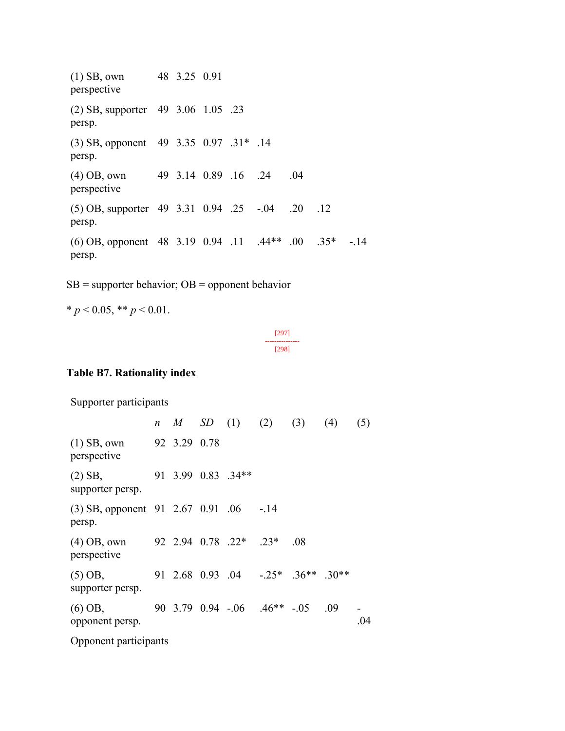(1) SB, own perspective 48 3.25 0.91 (2) SB, supporter persp. 49 3.06 1.05 .23 (3) SB, opponent persp. 49 3.35 0.97 .31\* .14 (4) OB, own perspective 49 3.14 0.89 .16 .24 .04 (5) OB, supporter 49 3.31 0.94 .25 -.04 .20 .12 persp. (6) OB, opponent 48 3.19 0.94 .11 .44\*\* .00 .35\* -.14 persp.

 $SB =$  supporter behavior;  $OB =$  opponent behavior

```
* p < 0.05, * p < 0.01.
```
[297] --------------- [298]

# **Table B7. Rationality index**

Supporter participants *n M SD* (1) (2) (3) (4) (5) (1) SB, own perspective 92 3.29 0.78 (2) SB, supporter persp. 91 3.99 0.83 .34\*\* (3) SB, opponent 91 2.67 0.91 .06 -.14 persp. (4) OB, own perspective 92 2.94 0.78 .22\* .23\* .08 (5) OB, supporter persp. 91 2.68 0.93 .04 -.25\* .36\*\* .30\*\* (6) OB, opponent persp. 90 3.79 0.94 -.06 .46\*\* -.05 .09 .04 Opponent participants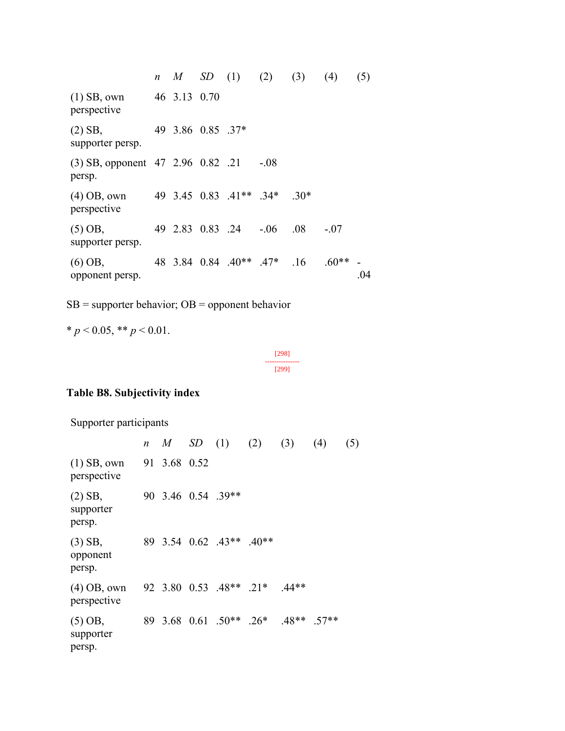*n M SD* (1) (2) (3) (4) (5) (1) SB, own perspective 46 3.13 0.70 (2) SB, supporter persp. 49 3.86 0.85 .37\* (3) SB, opponent 47 2.96 0.82 .21 -.08 persp. (4) OB, own perspective 49 3.45 0.83 .41\*\* .34\* .30\* (5) OB, supporter persp. 49 2.83 0.83 .24 -.06 .08 -.07 (6) OB, opponent persp. 48 3.84 0.84 .40\*\* .47\* .16 .60\*\* - .04

 $SB =$  supporter behavior;  $OB =$  opponent behavior

\*  $p < 0.05$ , \*\*  $p < 0.01$ .

[298] --------------- [299]

# **Table B8. Subjectivity index**

Supporter participants

|                                 |              |                               | <i>n M SD</i> (1) (2) (3) (4)       | (5) |
|---------------------------------|--------------|-------------------------------|-------------------------------------|-----|
| $(1)$ SB, own<br>perspective    | 91 3.68 0.52 |                               |                                     |     |
| (2) SB,<br>supporter<br>persp.  |              | 90 3.46 0.54 .39**            |                                     |     |
| $(3)$ SB,<br>opponent<br>persp. |              | 89 3.54 0.62 .43** .40**      |                                     |     |
| (4) OB, own<br>perspective      |              | 92 3.80 0.53 .48** .21* .44** |                                     |     |
| (5) OB,<br>supporter<br>persp.  |              |                               | 89 3.68 0.61 .50** .26* .48** .57** |     |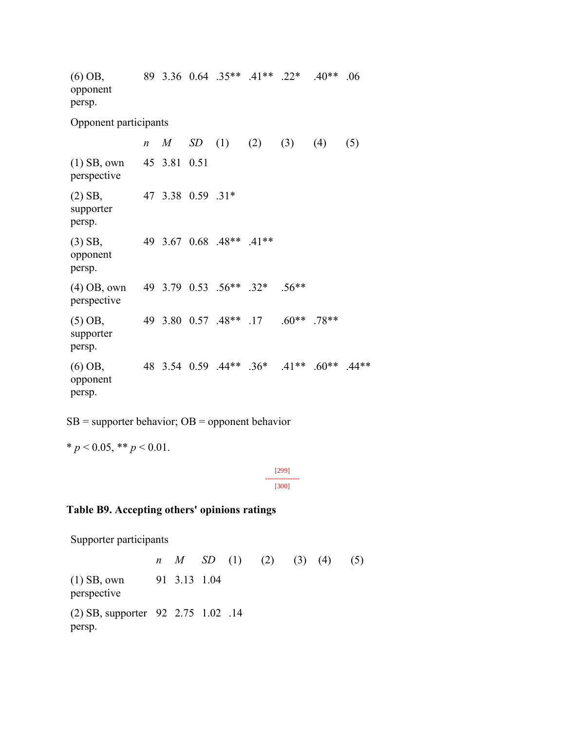(6) OB, opponent persp. 89 3.36 0.64 .35\*\* .41\*\* .22\* .40\*\* .06 Opponent participants *n M SD* (1) (2) (3) (4) (5) (1) SB, own perspective 45 3.81 0.51 (2) SB, supporter persp. 47 3.38 0.59 .31\* (3) SB, opponent persp. 49 3.67 0.68 .48\*\* .41\*\* (4) OB, own perspective 49 3.79 0.53 .56\*\* .32\* .56\*\* (5) OB, supporter persp. 49 3.80 0.57 .48\*\* .17 .60\*\* .78\*\* (6) OB, opponent persp. 48 3.54 0.59 .44\*\* .36\* .41\*\* .60\*\* .44\*\*

 $SB =$  supporter behavior;  $OB =$  opponent behavior

\*
$$
p < 0.05
$$
, \*\*  $p < 0.01$ .

[299] --------------- [300]

#### **Table B9. Accepting others' opinions ratings**

Supporter participants

*n M SD* (1) (2) (3) (4) (5) (1) SB, own perspective 91 3.13 1.04 (2) SB, supporter 92 2.75 1.02 .14persp.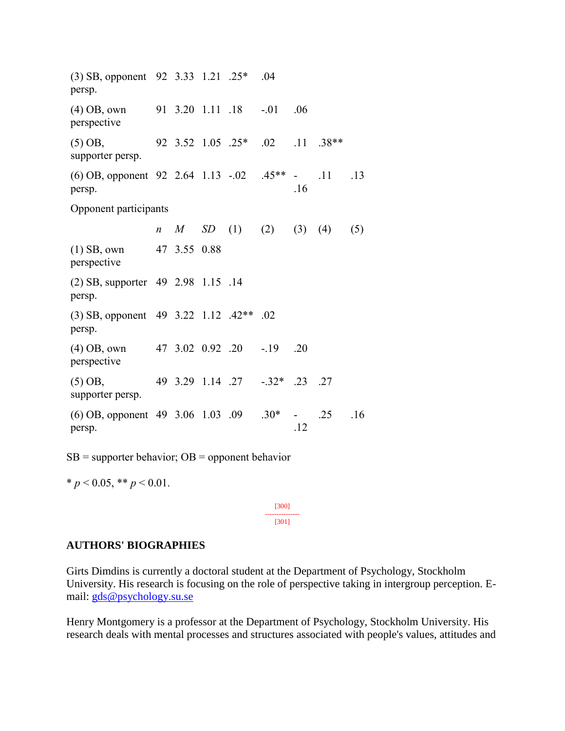(3) SB, opponent 92 3.33 1.21 .25\* .04 persp. (4) OB, own perspective 91 3.20 1.11 .18 -.01 .06 (5) OB, supporter persp. 92 3.52 1.05 .25\* .02 .11 .38\*\* (6) OB, opponent 92 2.64 1.13 -.02 .45\*\* persp. .16 .11 .13 Opponent participants *n M SD* (1) (2) (3) (4) (5) (1) SB, own perspective 47 3.55 0.88 (2) SB, supporter 49 2.98 1.15 .14 persp. (3) SB, opponent 49 3.22 1.12 .42\*\* .02 persp. (4) OB, own perspective 47 3.02 0.92 .20 -.19 .20 (5) OB, supporter persp. 49 3.29 1.14 .27 -.32\* .23 .27 (6) OB, opponent 49 3.06 1.03 .09 .30\* persp. .12 .25 .16

 $SB =$  supporter behavior;  $OB =$  opponent behavior

 $* p < 0.05$ ,  $* p < 0.01$ .

[300] --------------- [301]

#### **AUTHORS' BIOGRAPHIES**

Girts Dimdins is currently a doctoral student at the Department of Psychology, Stockholm University. His research is focusing on the role of perspective taking in intergroup perception. Email: [gds@psychology.su.se](mailto:gds@psychology.su.se)

Henry Montgomery is a professor at the Department of Psychology, Stockholm University. His research deals with mental processes and structures associated with people's values, attitudes and